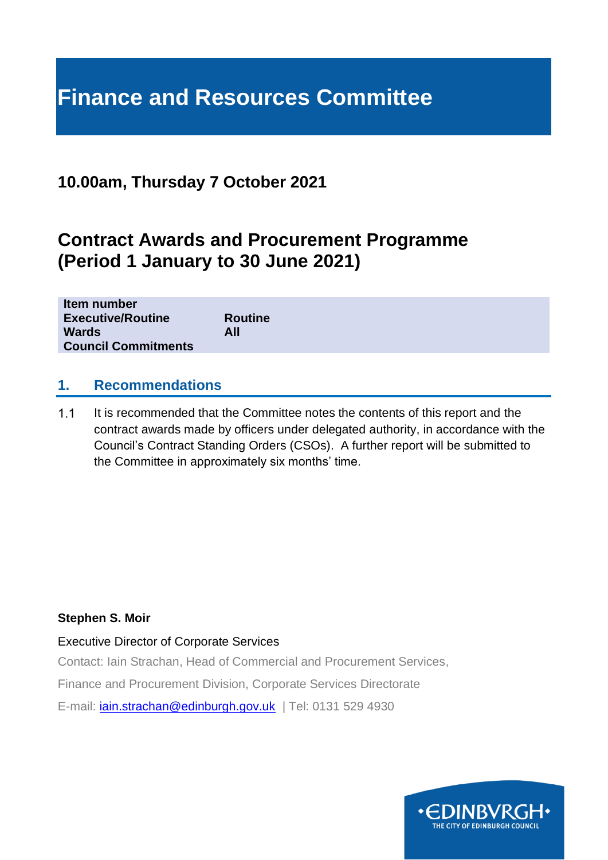# **Finance and Resources Committee**

# **10.00am, Thursday 7 October 2021**

# **Contract Awards and Procurement Programme (Period 1 January to 30 June 2021)**

| Item number                |                |
|----------------------------|----------------|
| <b>Executive/Routine</b>   | <b>Routine</b> |
| <b>Wards</b>               | All            |
| <b>Council Commitments</b> |                |

# **1. Recommendations**

 $1.1$ It is recommended that the Committee notes the contents of this report and the contract awards made by officers under delegated authority, in accordance with the Council's Contract Standing Orders (CSOs). A further report will be submitted to the Committee in approximately six months' time.

#### **Stephen S. Moir**

Executive Director of Corporate Services

Contact: Iain Strachan, Head of Commercial and Procurement Services,

Finance and Procurement Division, Corporate Services Directorate

E-mail: *[iain.strachan@edinburgh.gov.uk](mailto:iain.strachan@edinburgh.gov.uk)* | Tel: 0131 529 4930

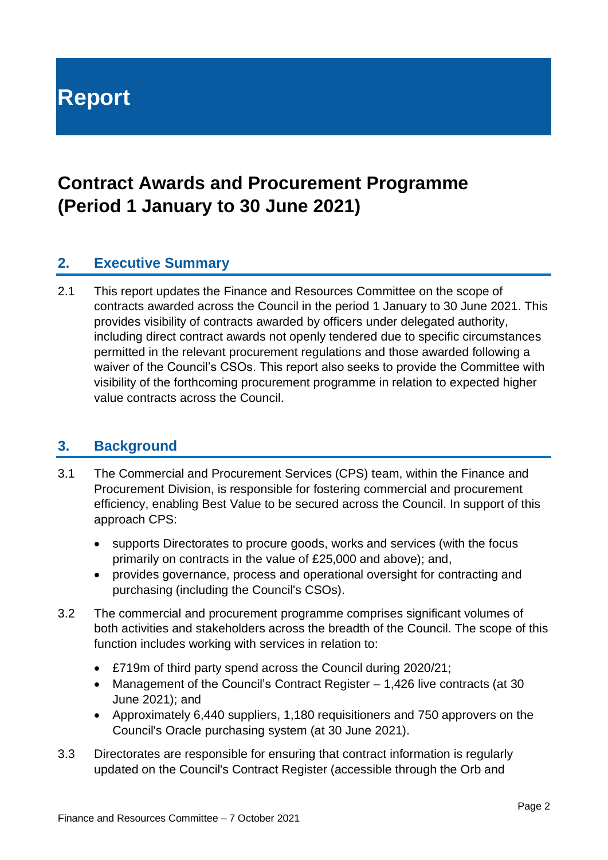# **Report**

# **Contract Awards and Procurement Programme (Period 1 January to 30 June 2021)**

# **2. Executive Summary**

2.1 This report updates the Finance and Resources Committee on the scope of contracts awarded across the Council in the period 1 January to 30 June 2021. This provides visibility of contracts awarded by officers under delegated authority, including direct contract awards not openly tendered due to specific circumstances permitted in the relevant procurement regulations and those awarded following a waiver of the Council's CSOs. This report also seeks to provide the Committee with visibility of the forthcoming procurement programme in relation to expected higher value contracts across the Council.

# **3. Background**

- 3.1 The Commercial and Procurement Services (CPS) team, within the Finance and Procurement Division, is responsible for fostering commercial and procurement efficiency, enabling Best Value to be secured across the Council. In support of this approach CPS:
	- supports Directorates to procure goods, works and services (with the focus primarily on contracts in the value of £25,000 and above); and,
	- provides governance, process and operational oversight for contracting and purchasing (including the Council's CSOs).
- 3.2 The commercial and procurement programme comprises significant volumes of both activities and stakeholders across the breadth of the Council. The scope of this function includes working with services in relation to:
	- £719m of third party spend across the Council during 2020/21;
	- Management of the Council's Contract Register 1,426 live contracts (at 30 June 2021); and
	- Approximately 6,440 suppliers, 1,180 requisitioners and 750 approvers on the Council's Oracle purchasing system (at 30 June 2021).
- 3.3 Directorates are responsible for ensuring that contract information is regularly updated on the Council's Contract Register (accessible through the Orb and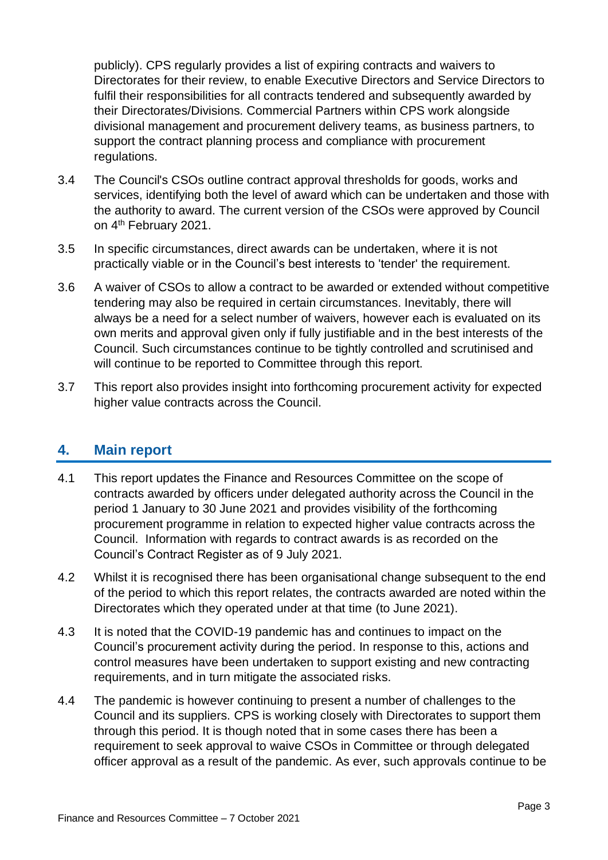publicly). CPS regularly provides a list of expiring contracts and waivers to Directorates for their review, to enable Executive Directors and Service Directors to fulfil their responsibilities for all contracts tendered and subsequently awarded by their Directorates/Divisions. Commercial Partners within CPS work alongside divisional management and procurement delivery teams, as business partners, to support the contract planning process and compliance with procurement regulations.

- 3.4 The Council's CSOs outline contract approval thresholds for goods, works and services, identifying both the level of award which can be undertaken and those with the authority to award. The current version of the CSOs were approved by Council on 4<sup>th</sup> February 2021.
- 3.5 In specific circumstances, direct awards can be undertaken, where it is not practically viable or in the Council's best interests to 'tender' the requirement.
- 3.6 A waiver of CSOs to allow a contract to be awarded or extended without competitive tendering may also be required in certain circumstances. Inevitably, there will always be a need for a select number of waivers, however each is evaluated on its own merits and approval given only if fully justifiable and in the best interests of the Council. Such circumstances continue to be tightly controlled and scrutinised and will continue to be reported to Committee through this report.
- 3.7 This report also provides insight into forthcoming procurement activity for expected higher value contracts across the Council.

# **4. Main report**

- 4.1 This report updates the Finance and Resources Committee on the scope of contracts awarded by officers under delegated authority across the Council in the period 1 January to 30 June 2021 and provides visibility of the forthcoming procurement programme in relation to expected higher value contracts across the Council. Information with regards to contract awards is as recorded on the Council's Contract Register as of 9 July 2021.
- 4.2 Whilst it is recognised there has been organisational change subsequent to the end of the period to which this report relates, the contracts awarded are noted within the Directorates which they operated under at that time (to June 2021).
- 4.3 It is noted that the COVID-19 pandemic has and continues to impact on the Council's procurement activity during the period. In response to this, actions and control measures have been undertaken to support existing and new contracting requirements, and in turn mitigate the associated risks.
- 4.4 The pandemic is however continuing to present a number of challenges to the Council and its suppliers. CPS is working closely with Directorates to support them through this period. It is though noted that in some cases there has been a requirement to seek approval to waive CSOs in Committee or through delegated officer approval as a result of the pandemic. As ever, such approvals continue to be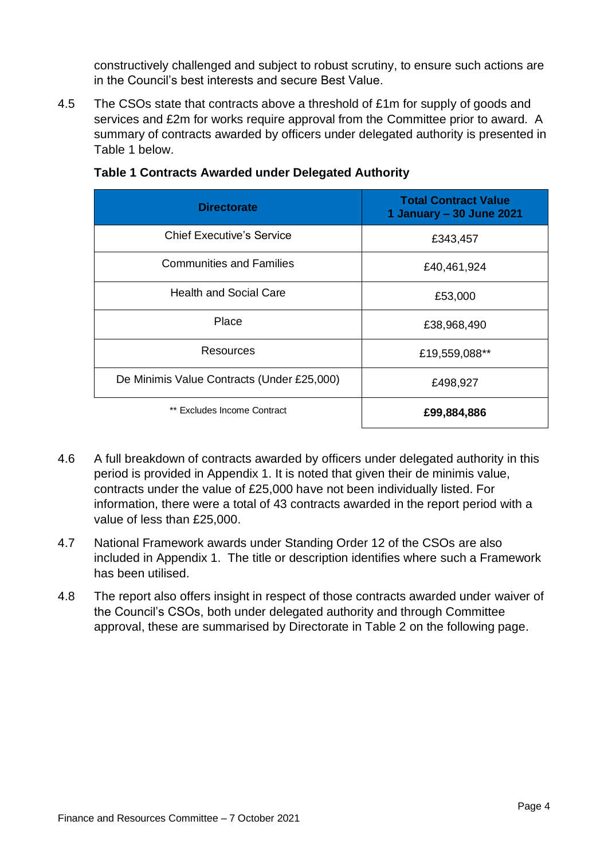constructively challenged and subject to robust scrutiny, to ensure such actions are in the Council's best interests and secure Best Value.

4.5 The CSOs state that contracts above a threshold of £1m for supply of goods and services and £2m for works require approval from the Committee prior to award. A summary of contracts awarded by officers under delegated authority is presented in Table 1 below.

| <b>Directorate</b>                         | <b>Total Contract Value</b><br>1 January - 30 June 2021 |
|--------------------------------------------|---------------------------------------------------------|
| <b>Chief Executive's Service</b>           | £343,457                                                |
| <b>Communities and Families</b>            | £40,461,924                                             |
| <b>Health and Social Care</b>              | £53,000                                                 |
| Place                                      | £38,968,490                                             |
| Resources                                  | £19,559,088**                                           |
| De Minimis Value Contracts (Under £25,000) | £498,927                                                |
| ** Excludes Income Contract                | £99,884,886                                             |

#### **Table 1 Contracts Awarded under Delegated Authority**

- 4.6 A full breakdown of contracts awarded by officers under delegated authority in this period is provided in Appendix 1. It is noted that given their de minimis value, contracts under the value of £25,000 have not been individually listed. For information, there were a total of 43 contracts awarded in the report period with a value of less than £25,000.
- 4.7 National Framework awards under Standing Order 12 of the CSOs are also included in Appendix 1. The title or description identifies where such a Framework has been utilised.
- 4.8 The report also offers insight in respect of those contracts awarded under waiver of the Council's CSOs, both under delegated authority and through Committee approval, these are summarised by Directorate in Table 2 on the following page.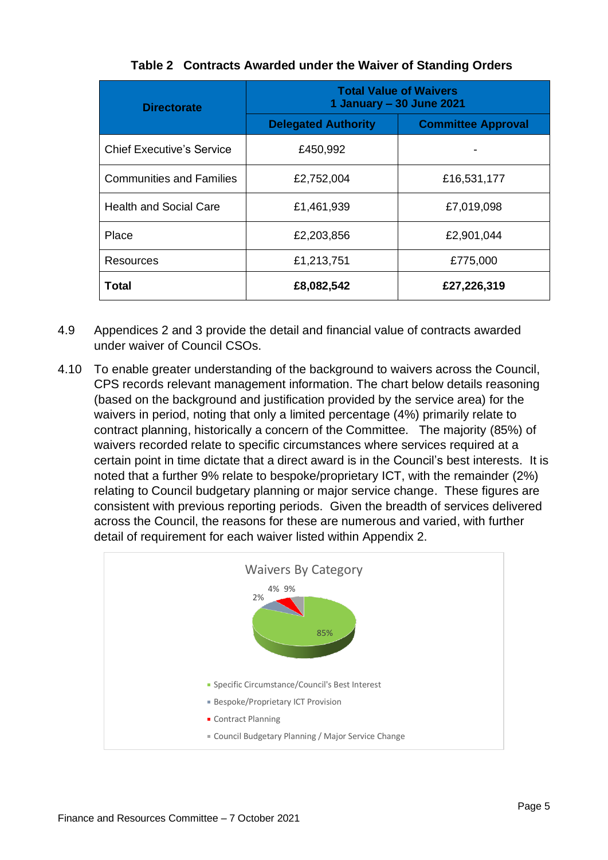| <b>Directorate</b>               | <b>Total Value of Waivers</b><br>1 January – 30 June 2021 |                           |
|----------------------------------|-----------------------------------------------------------|---------------------------|
|                                  | <b>Delegated Authority</b>                                | <b>Committee Approval</b> |
| <b>Chief Executive's Service</b> | £450,992                                                  |                           |
| <b>Communities and Families</b>  | £2,752,004                                                | £16,531,177               |
| <b>Health and Social Care</b>    | £1,461,939                                                | £7,019,098                |
| Place                            | £2,203,856                                                | £2,901,044                |
| Resources                        | £1,213,751                                                | £775,000                  |
| Total                            | £8,082,542                                                | £27,226,319               |

#### **Table 2 Contracts Awarded under the Waiver of Standing Orders**

- 4.9 Appendices 2 and 3 provide the detail and financial value of contracts awarded under waiver of Council CSOs.
- 4.10 To enable greater understanding of the background to waivers across the Council, CPS records relevant management information. The chart below details reasoning (based on the background and justification provided by the service area) for the waivers in period, noting that only a limited percentage (4%) primarily relate to contract planning, historically a concern of the Committee. The majority (85%) of waivers recorded relate to specific circumstances where services required at a certain point in time dictate that a direct award is in the Council's best interests. It is noted that a further 9% relate to bespoke/proprietary ICT, with the remainder (2%) relating to Council budgetary planning or major service change. These figures are consistent with previous reporting periods. Given the breadth of services delivered across the Council, the reasons for these are numerous and varied, with further detail of requirement for each waiver listed within Appendix 2.

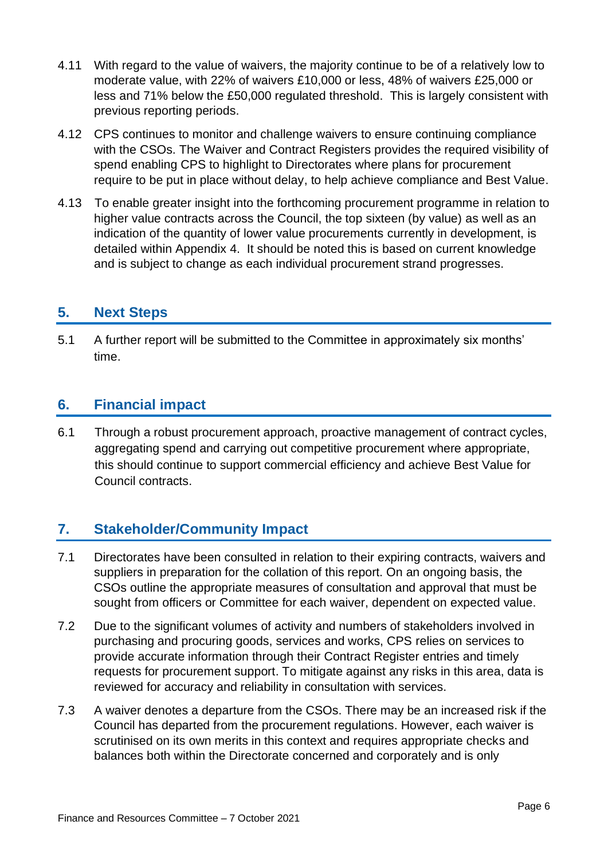- 4.11 With regard to the value of waivers, the majority continue to be of a relatively low to moderate value, with 22% of waivers £10,000 or less, 48% of waivers £25,000 or less and 71% below the £50,000 regulated threshold. This is largely consistent with previous reporting periods.
- 4.12 CPS continues to monitor and challenge waivers to ensure continuing compliance with the CSOs. The Waiver and Contract Registers provides the required visibility of spend enabling CPS to highlight to Directorates where plans for procurement require to be put in place without delay, to help achieve compliance and Best Value.
- 4.13 To enable greater insight into the forthcoming procurement programme in relation to higher value contracts across the Council, the top sixteen (by value) as well as an indication of the quantity of lower value procurements currently in development, is detailed within Appendix 4. It should be noted this is based on current knowledge and is subject to change as each individual procurement strand progresses.

# **5. Next Steps**

5.1 A further report will be submitted to the Committee in approximately six months' time.

# **6. Financial impact**

6.1 Through a robust procurement approach, proactive management of contract cycles, aggregating spend and carrying out competitive procurement where appropriate, this should continue to support commercial efficiency and achieve Best Value for Council contracts.

# **7. Stakeholder/Community Impact**

- 7.1 Directorates have been consulted in relation to their expiring contracts, waivers and suppliers in preparation for the collation of this report. On an ongoing basis, the CSOs outline the appropriate measures of consultation and approval that must be sought from officers or Committee for each waiver, dependent on expected value.
- 7.2 Due to the significant volumes of activity and numbers of stakeholders involved in purchasing and procuring goods, services and works, CPS relies on services to provide accurate information through their Contract Register entries and timely requests for procurement support. To mitigate against any risks in this area, data is reviewed for accuracy and reliability in consultation with services.
- 7.3 A waiver denotes a departure from the CSOs. There may be an increased risk if the Council has departed from the procurement regulations. However, each waiver is scrutinised on its own merits in this context and requires appropriate checks and balances both within the Directorate concerned and corporately and is only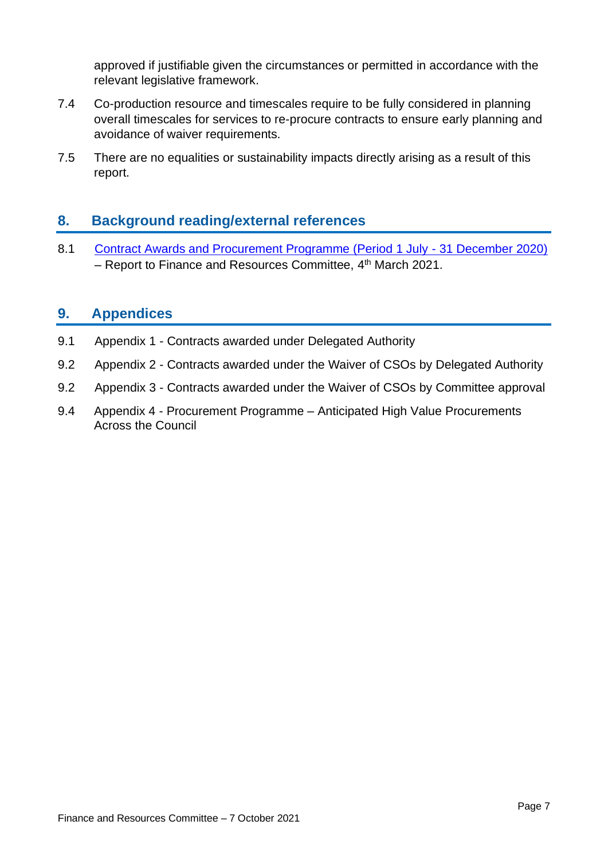approved if justifiable given the circumstances or permitted in accordance with the relevant legislative framework.

- 7.4 Co-production resource and timescales require to be fully considered in planning overall timescales for services to re-procure contracts to ensure early planning and avoidance of waiver requirements.
- 7.5 There are no equalities or sustainability impacts directly arising as a result of this report.

# **8. Background reading/external references**

8.1 [Contract Awards and Procurement Programme \(Period 1 July -](https://democracy.edinburgh.gov.uk/ieListDocuments.aspx?CId=140&MId=5565&Ver=4) 31 December 2020) – Report to Finance and Resources Committee, 4<sup>th</sup> March 2021.

# **9. Appendices**

- 9.1 Appendix 1 Contracts awarded under Delegated Authority
- 9.2 Appendix 2 Contracts awarded under the Waiver of CSOs by Delegated Authority
- 9.2 Appendix 3 Contracts awarded under the Waiver of CSOs by Committee approval
- 9.4 Appendix 4 Procurement Programme Anticipated High Value Procurements Across the Council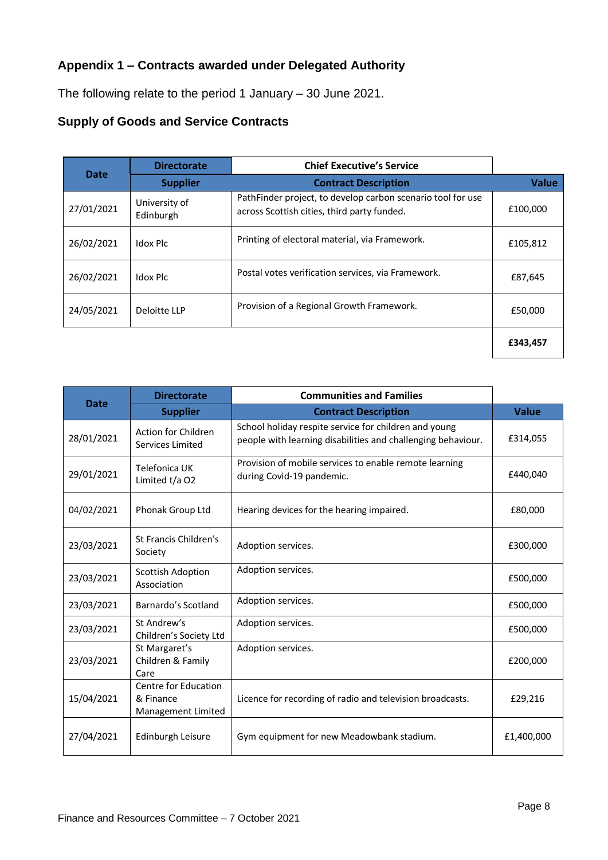# **Appendix 1 – Contracts awarded under Delegated Authority**

The following relate to the period 1 January – 30 June 2021.

#### **Supply of Goods and Service Contracts**

|             | <b>Directorate</b>         | <b>Chief Executive's Service</b>                                                                           |              |
|-------------|----------------------------|------------------------------------------------------------------------------------------------------------|--------------|
| <b>Date</b> | <b>Supplier</b>            | <b>Contract Description</b>                                                                                | <b>Value</b> |
| 27/01/2021  | University of<br>Edinburgh | PathFinder project, to develop carbon scenario tool for use<br>across Scottish cities, third party funded. | £100,000     |
| 26/02/2021  | Idox Plc                   | Printing of electoral material, via Framework.                                                             | £105,812     |
| 26/02/2021  | Idox Plc                   | Postal votes verification services, via Framework.                                                         | £87,645      |
| 24/05/2021  | Deloitte LLP               | Provision of a Regional Growth Framework.                                                                  | £50,000      |
|             |                            |                                                                                                            | £343,457     |

|             | <b>Directorate</b>                                      | <b>Communities and Families</b>                                                                                       |              |
|-------------|---------------------------------------------------------|-----------------------------------------------------------------------------------------------------------------------|--------------|
| <b>Date</b> | <b>Supplier</b>                                         | <b>Contract Description</b>                                                                                           | <b>Value</b> |
| 28/01/2021  | <b>Action for Children</b><br>Services Limited          | School holiday respite service for children and young<br>people with learning disabilities and challenging behaviour. | £314,055     |
| 29/01/2021  | Telefonica UK<br>Limited t/a O2                         | Provision of mobile services to enable remote learning<br>during Covid-19 pandemic.                                   | £440,040     |
| 04/02/2021  | Phonak Group Ltd                                        | Hearing devices for the hearing impaired.                                                                             | £80,000      |
| 23/03/2021  | St Francis Children's<br>Society                        | Adoption services.                                                                                                    | £300,000     |
| 23/03/2021  | <b>Scottish Adoption</b><br>Association                 | Adoption services.                                                                                                    | £500,000     |
| 23/03/2021  | Barnardo's Scotland                                     | Adoption services.                                                                                                    | £500,000     |
| 23/03/2021  | St Andrew's<br>Children's Society Ltd                   | Adoption services.                                                                                                    | £500,000     |
| 23/03/2021  | St Margaret's<br>Children & Family<br>Care              | Adoption services.                                                                                                    | £200,000     |
| 15/04/2021  | Centre for Education<br>& Finance<br>Management Limited | Licence for recording of radio and television broadcasts.                                                             | £29,216      |
| 27/04/2021  | Edinburgh Leisure                                       | Gym equipment for new Meadowbank stadium.                                                                             | £1,400,000   |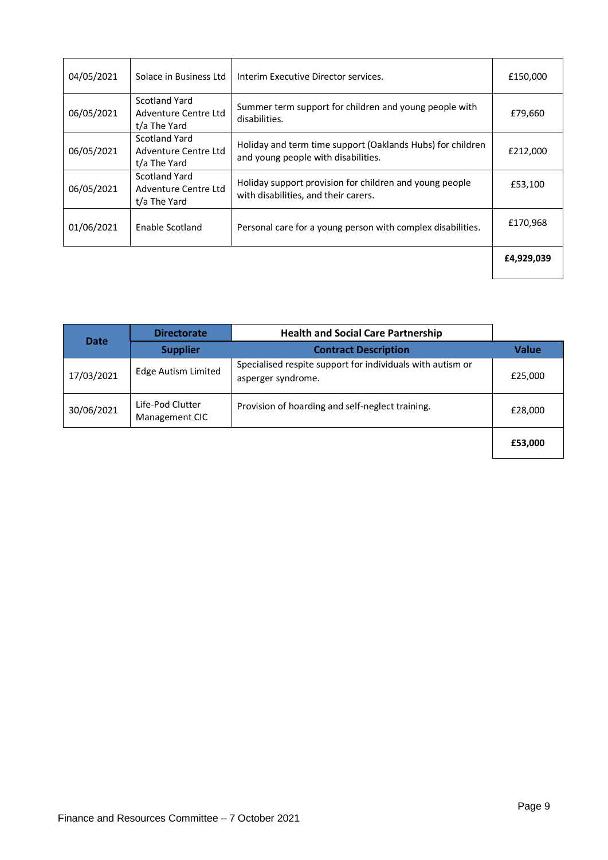| 04/05/2021 | Solace in Business Ltd                                | Interim Executive Director services.                                                              | £150,000   |
|------------|-------------------------------------------------------|---------------------------------------------------------------------------------------------------|------------|
| 06/05/2021 | Scotland Yard<br>Adventure Centre Ltd<br>t/a The Yard | Summer term support for children and young people with<br>disabilities.                           | £79,660    |
| 06/05/2021 | Scotland Yard<br>Adventure Centre Ltd<br>t/a The Yard | Holiday and term time support (Oaklands Hubs) for children<br>and young people with disabilities. | £212,000   |
| 06/05/2021 | Scotland Yard<br>Adventure Centre Ltd<br>t/a The Yard | Holiday support provision for children and young people<br>with disabilities, and their carers.   | £53,100    |
| 01/06/2021 | Enable Scotland                                       | Personal care for a young person with complex disabilities.                                       | £170,968   |
|            |                                                       |                                                                                                   | £4,929,039 |

| <b>Date</b> | <b>Directorate</b>                 | <b>Health and Social Care Partnership</b>                                        |              |
|-------------|------------------------------------|----------------------------------------------------------------------------------|--------------|
|             | <b>Supplier</b>                    | <b>Contract Description</b>                                                      | <b>Value</b> |
| 17/03/2021  | <b>Edge Autism Limited</b>         | Specialised respite support for individuals with autism or<br>asperger syndrome. | £25,000      |
| 30/06/2021  | Life-Pod Clutter<br>Management CIC | Provision of hoarding and self-neglect training.                                 | £28,000      |
|             |                                    |                                                                                  | £53,000      |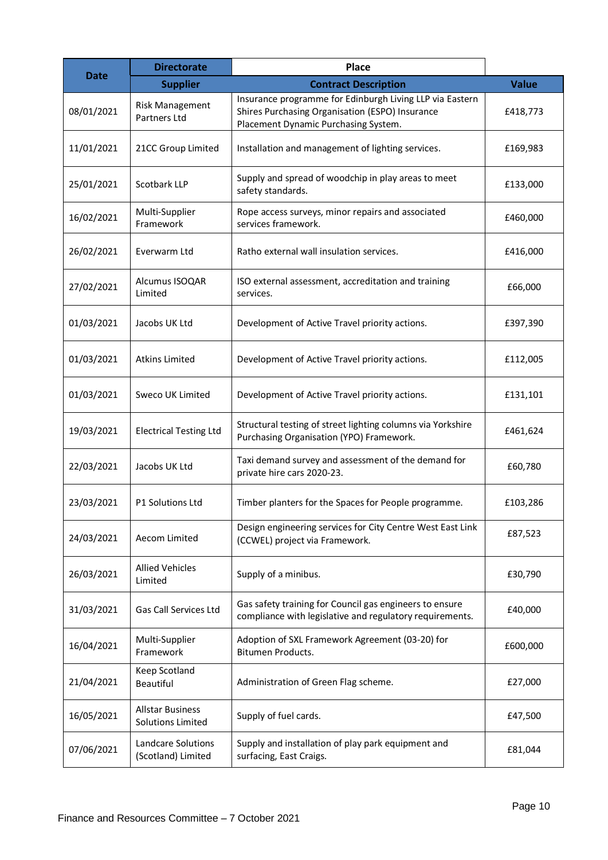| <b>Date</b> | <b>Directorate</b>                                  | <b>Place</b>                                                                                                                                        |              |
|-------------|-----------------------------------------------------|-----------------------------------------------------------------------------------------------------------------------------------------------------|--------------|
|             | <b>Supplier</b>                                     | <b>Contract Description</b>                                                                                                                         | <b>Value</b> |
| 08/01/2021  | <b>Risk Management</b><br>Partners Ltd              | Insurance programme for Edinburgh Living LLP via Eastern<br>Shires Purchasing Organisation (ESPO) Insurance<br>Placement Dynamic Purchasing System. | £418,773     |
| 11/01/2021  | 21CC Group Limited                                  | Installation and management of lighting services.                                                                                                   | £169,983     |
| 25/01/2021  | Scotbark LLP                                        | Supply and spread of woodchip in play areas to meet<br>safety standards.                                                                            | £133,000     |
| 16/02/2021  | Multi-Supplier<br>Framework                         | Rope access surveys, minor repairs and associated<br>services framework.                                                                            | £460,000     |
| 26/02/2021  | Everwarm Ltd                                        | Ratho external wall insulation services.                                                                                                            | £416,000     |
| 27/02/2021  | Alcumus ISOQAR<br>Limited                           | ISO external assessment, accreditation and training<br>services.                                                                                    | £66,000      |
| 01/03/2021  | Jacobs UK Ltd                                       | Development of Active Travel priority actions.                                                                                                      | £397,390     |
| 01/03/2021  | <b>Atkins Limited</b>                               | Development of Active Travel priority actions.                                                                                                      | £112,005     |
| 01/03/2021  | Sweco UK Limited                                    | Development of Active Travel priority actions.                                                                                                      | £131,101     |
| 19/03/2021  | <b>Electrical Testing Ltd</b>                       | Structural testing of street lighting columns via Yorkshire<br>Purchasing Organisation (YPO) Framework.                                             | £461,624     |
| 22/03/2021  | Jacobs UK Ltd                                       | Taxi demand survey and assessment of the demand for<br>private hire cars 2020-23.                                                                   | £60,780      |
| 23/03/2021  | P1 Solutions Ltd                                    | Timber planters for the Spaces for People programme.                                                                                                | £103,286     |
| 24/03/2021  | Aecom Limited                                       | Design engineering services for City Centre West East Link<br>(CCWEL) project via Framework.                                                        | £87,523      |
| 26/03/2021  | <b>Allied Vehicles</b><br>Limited                   | Supply of a minibus.                                                                                                                                | £30,790      |
| 31/03/2021  | Gas Call Services Ltd                               | Gas safety training for Council gas engineers to ensure<br>compliance with legislative and regulatory requirements.                                 | £40,000      |
| 16/04/2021  | Multi-Supplier<br>Framework                         | Adoption of SXL Framework Agreement (03-20) for<br>Bitumen Products.                                                                                | £600,000     |
| 21/04/2021  | Keep Scotland<br>Beautiful                          | Administration of Green Flag scheme.                                                                                                                | £27,000      |
| 16/05/2021  | <b>Allstar Business</b><br><b>Solutions Limited</b> | Supply of fuel cards.                                                                                                                               | £47,500      |
| 07/06/2021  | Landcare Solutions<br>(Scotland) Limited            | Supply and installation of play park equipment and<br>surfacing, East Craigs.                                                                       | £81,044      |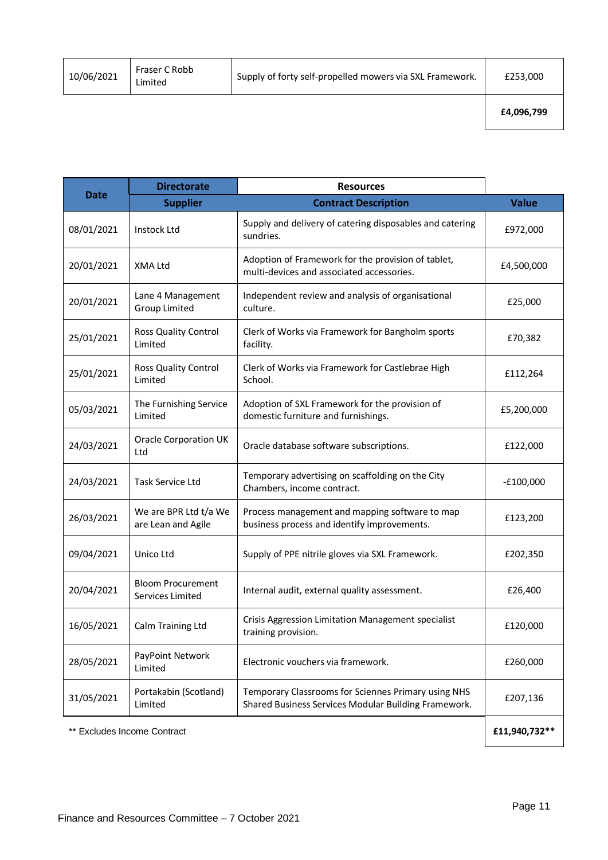| 10/06/2021 | Fraser C Robb<br>∟imited | Supply of forty self-propelled mowers via SXL Framework. | £253,000 |
|------------|--------------------------|----------------------------------------------------------|----------|
|            |                          |                                                          |          |

|             | <b>Directorate</b>                           | <b>Resources</b>                                                                                            |              |
|-------------|----------------------------------------------|-------------------------------------------------------------------------------------------------------------|--------------|
| <b>Date</b> | <b>Supplier</b>                              | <b>Contract Description</b>                                                                                 | <b>Value</b> |
| 08/01/2021  | <b>Instock Ltd</b>                           | Supply and delivery of catering disposables and catering<br>sundries.                                       | £972,000     |
| 20/01/2021  | XMA Ltd                                      | Adoption of Framework for the provision of tablet,<br>multi-devices and associated accessories.             | £4,500,000   |
| 20/01/2021  | Lane 4 Management<br><b>Group Limited</b>    | Independent review and analysis of organisational<br>culture.                                               | £25,000      |
| 25/01/2021  | Ross Quality Control<br>Limited              | Clerk of Works via Framework for Bangholm sports<br>facility.                                               | £70,382      |
| 25/01/2021  | <b>Ross Quality Control</b><br>Limited       | Clerk of Works via Framework for Castlebrae High<br>School.                                                 | £112,264     |
| 05/03/2021  | The Furnishing Service<br>Limited            | Adoption of SXL Framework for the provision of<br>domestic furniture and furnishings.                       | £5,200,000   |
| 24/03/2021  | <b>Oracle Corporation UK</b><br>Ltd          | Oracle database software subscriptions.                                                                     | £122,000     |
| 24/03/2021  | <b>Task Service Ltd</b>                      | Temporary advertising on scaffolding on the City<br>Chambers, income contract.                              | $-£100,000$  |
| 26/03/2021  | We are BPR Ltd t/a We<br>are Lean and Agile  | Process management and mapping software to map<br>business process and identify improvements.               | £123,200     |
| 09/04/2021  | Unico Ltd                                    | Supply of PPE nitrile gloves via SXL Framework.                                                             | £202,350     |
| 20/04/2021  | <b>Bloom Procurement</b><br>Services Limited | Internal audit, external quality assessment.                                                                | £26,400      |
| 16/05/2021  | Calm Training Ltd                            | Crisis Aggression Limitation Management specialist<br>training provision.                                   | £120,000     |
| 28/05/2021  | PayPoint Network<br>Limited                  | Electronic vouchers via framework.                                                                          | £260,000     |
| 31/05/2021  | Portakabin (Scotland)<br>Limited             | Temporary Classrooms for Sciennes Primary using NHS<br>Shared Business Services Modular Building Framework. | £207,136     |

\*\* Excludes Income Contract **£11,940,732\*\***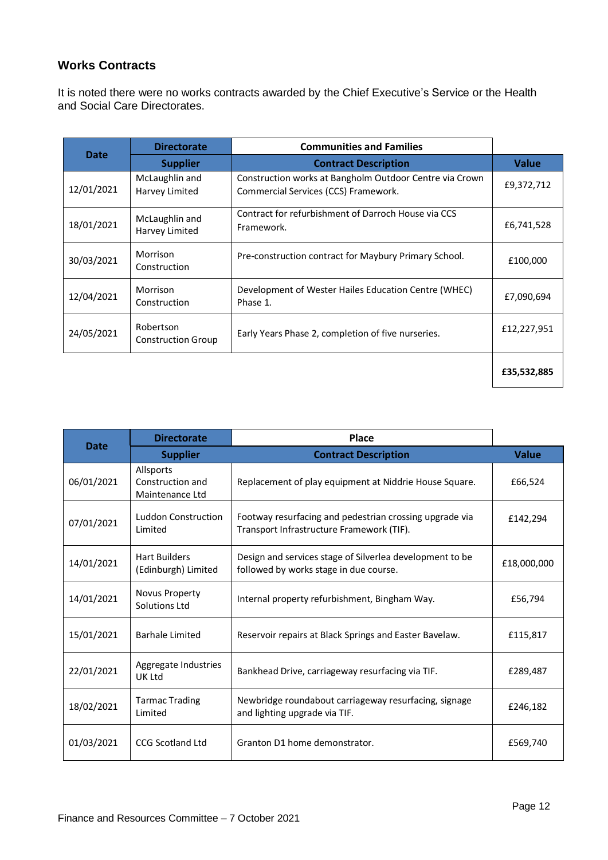#### **Works Contracts**

It is noted there were no works contracts awarded by the Chief Executive's Service or the Health and Social Care Directorates.

|             | <b>Directorate</b>                     | <b>Communities and Families</b>                                                                 |              |
|-------------|----------------------------------------|-------------------------------------------------------------------------------------------------|--------------|
| <b>Date</b> | <b>Supplier</b>                        | <b>Contract Description</b>                                                                     | <b>Value</b> |
| 12/01/2021  | McLaughlin and<br>Harvey Limited       | Construction works at Bangholm Outdoor Centre via Crown<br>Commercial Services (CCS) Framework. | £9,372,712   |
| 18/01/2021  | McLaughlin and<br>Harvey Limited       | Contract for refurbishment of Darroch House via CCS<br>Framework.                               | £6,741,528   |
| 30/03/2021  | Morrison<br>Construction               | Pre-construction contract for Maybury Primary School.                                           | £100,000     |
| 12/04/2021  | Morrison<br>Construction               | Development of Wester Hailes Education Centre (WHEC)<br>Phase 1.                                | £7,090,694   |
| 24/05/2021  | Robertson<br><b>Construction Group</b> | Early Years Phase 2, completion of five nurseries.                                              | £12,227,951  |
|             |                                        |                                                                                                 | £35,532,885  |

|             | <b>Directorate</b>                               | Place                                                                                                |              |
|-------------|--------------------------------------------------|------------------------------------------------------------------------------------------------------|--------------|
| <b>Date</b> | <b>Supplier</b>                                  | <b>Contract Description</b>                                                                          | <b>Value</b> |
| 06/01/2021  | Allsports<br>Construction and<br>Maintenance Ltd | Replacement of play equipment at Niddrie House Square.                                               | £66,524      |
| 07/01/2021  | <b>Luddon Construction</b><br>Limited            | Footway resurfacing and pedestrian crossing upgrade via<br>Transport Infrastructure Framework (TIF). | £142,294     |
| 14/01/2021  | <b>Hart Builders</b><br>(Edinburgh) Limited      | Design and services stage of Silverlea development to be<br>followed by works stage in due course.   | £18,000,000  |
| 14/01/2021  | Novus Property<br>Solutions Ltd                  | Internal property refurbishment, Bingham Way.                                                        | £56,794      |
| 15/01/2021  | <b>Barhale Limited</b>                           | Reservoir repairs at Black Springs and Easter Bavelaw.                                               | £115,817     |
| 22/01/2021  | Aggregate Industries<br>UK Ltd                   | Bankhead Drive, carriageway resurfacing via TIF.                                                     | £289,487     |
| 18/02/2021  | <b>Tarmac Trading</b><br>Limited                 | Newbridge roundabout carriageway resurfacing, signage<br>and lighting upgrade via TIF.               | £246,182     |
| 01/03/2021  | <b>CCG Scotland Ltd</b>                          | Granton D1 home demonstrator.                                                                        | £569,740     |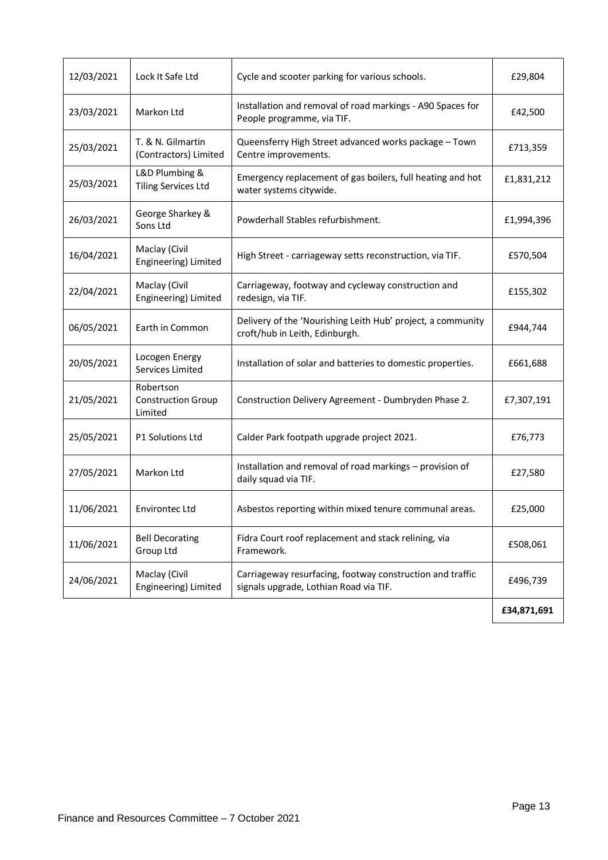| 12/03/2021 | Lock It Safe Ltd                                  | Cycle and scooter parking for various schools.                                                      | £29,804     |
|------------|---------------------------------------------------|-----------------------------------------------------------------------------------------------------|-------------|
| 23/03/2021 | Markon Ltd                                        | Installation and removal of road markings - A90 Spaces for<br>People programme, via TIF.            | £42,500     |
| 25/03/2021 | T. & N. Gilmartin<br>(Contractors) Limited        | Queensferry High Street advanced works package - Town<br>Centre improvements.                       | £713,359    |
| 25/03/2021 | L&D Plumbing &<br><b>Tiling Services Ltd</b>      | Emergency replacement of gas boilers, full heating and hot<br>water systems citywide.               | £1,831,212  |
| 26/03/2021 | George Sharkey &<br>Sons Ltd                      | Powderhall Stables refurbishment.                                                                   | £1,994,396  |
| 16/04/2021 | Maclay (Civil<br>Engineering) Limited             | High Street - carriageway setts reconstruction, via TIF.                                            | £570,504    |
| 22/04/2021 | Maclay (Civil<br>Engineering) Limited             | Carriageway, footway and cycleway construction and<br>redesign, via TIF.                            | £155,302    |
| 06/05/2021 | Earth in Common                                   | Delivery of the 'Nourishing Leith Hub' project, a community<br>croft/hub in Leith, Edinburgh.       | £944,744    |
| 20/05/2021 | Locogen Energy<br>Services Limited                | Installation of solar and batteries to domestic properties.                                         | £661,688    |
| 21/05/2021 | Robertson<br><b>Construction Group</b><br>Limited | Construction Delivery Agreement - Dumbryden Phase 2.                                                | £7,307,191  |
| 25/05/2021 | P1 Solutions Ltd                                  | Calder Park footpath upgrade project 2021.                                                          | £76,773     |
| 27/05/2021 | Markon Ltd                                        | Installation and removal of road markings - provision of<br>daily squad via TIF.                    | £27,580     |
| 11/06/2021 | <b>Environtec Ltd</b>                             | Asbestos reporting within mixed tenure communal areas.                                              | £25,000     |
| 11/06/2021 | <b>Bell Decorating</b><br>Group Ltd               | Fidra Court roof replacement and stack relining, via<br>Framework.                                  | £508,061    |
| 24/06/2021 | Maclay (Civil<br>Engineering) Limited             | Carriageway resurfacing, footway construction and traffic<br>signals upgrade, Lothian Road via TIF. | £496,739    |
|            |                                                   |                                                                                                     | £34,871,691 |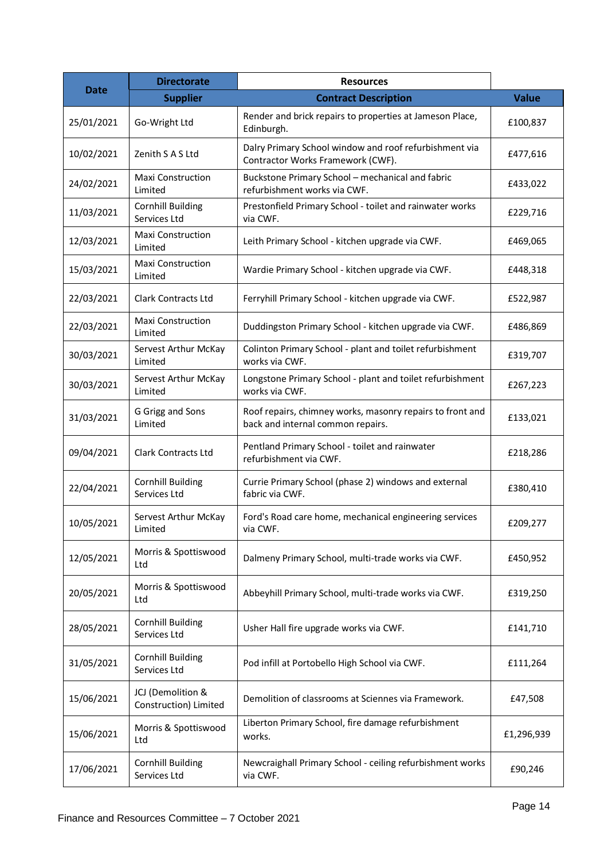|             | <b>Directorate</b>                         | <b>Resources</b>                                                                               |              |
|-------------|--------------------------------------------|------------------------------------------------------------------------------------------------|--------------|
| <b>Date</b> | <b>Supplier</b>                            | <b>Contract Description</b>                                                                    | <b>Value</b> |
| 25/01/2021  | Go-Wright Ltd                              | Render and brick repairs to properties at Jameson Place,<br>Edinburgh.                         | £100,837     |
| 10/02/2021  | Zenith S A S Ltd                           | Dalry Primary School window and roof refurbishment via<br>Contractor Works Framework (CWF).    | £477,616     |
| 24/02/2021  | Maxi Construction<br>Limited               | Buckstone Primary School - mechanical and fabric<br>refurbishment works via CWF.               | £433,022     |
| 11/03/2021  | <b>Cornhill Building</b><br>Services Ltd   | Prestonfield Primary School - toilet and rainwater works<br>via CWF.                           | £229,716     |
| 12/03/2021  | <b>Maxi Construction</b><br>Limited        | Leith Primary School - kitchen upgrade via CWF.                                                | £469,065     |
| 15/03/2021  | Maxi Construction<br>Limited               | Wardie Primary School - kitchen upgrade via CWF.                                               | £448,318     |
| 22/03/2021  | Clark Contracts Ltd                        | Ferryhill Primary School - kitchen upgrade via CWF.                                            | £522,987     |
| 22/03/2021  | <b>Maxi Construction</b><br>Limited        | Duddingston Primary School - kitchen upgrade via CWF.                                          | £486,869     |
| 30/03/2021  | Servest Arthur McKay<br>Limited            | Colinton Primary School - plant and toilet refurbishment<br>works via CWF.                     | £319,707     |
| 30/03/2021  | Servest Arthur McKay<br>Limited            | Longstone Primary School - plant and toilet refurbishment<br>works via CWF.                    | £267,223     |
| 31/03/2021  | G Grigg and Sons<br>Limited                | Roof repairs, chimney works, masonry repairs to front and<br>back and internal common repairs. | £133,021     |
| 09/04/2021  | <b>Clark Contracts Ltd</b>                 | Pentland Primary School - toilet and rainwater<br>refurbishment via CWF.                       | £218,286     |
| 22/04/2021  | <b>Cornhill Building</b><br>Services Ltd   | Currie Primary School (phase 2) windows and external<br>fabric via CWF.                        | £380,410     |
| 10/05/2021  | Servest Arthur McKay<br>Limited            | Ford's Road care home, mechanical engineering services<br>via CWF.                             | £209,277     |
| 12/05/2021  | Morris & Spottiswood<br>Ltd                | Dalmeny Primary School, multi-trade works via CWF.                                             | £450,952     |
| 20/05/2021  | Morris & Spottiswood<br>Ltd                | Abbeyhill Primary School, multi-trade works via CWF.                                           | £319,250     |
| 28/05/2021  | <b>Cornhill Building</b><br>Services Ltd   | Usher Hall fire upgrade works via CWF.                                                         | £141,710     |
| 31/05/2021  | <b>Cornhill Building</b><br>Services Ltd   | Pod infill at Portobello High School via CWF.                                                  | £111,264     |
| 15/06/2021  | JCJ (Demolition &<br>Construction) Limited | Demolition of classrooms at Sciennes via Framework.                                            | £47,508      |
| 15/06/2021  | Morris & Spottiswood<br>Ltd                | Liberton Primary School, fire damage refurbishment<br>works.                                   | £1,296,939   |
| 17/06/2021  | <b>Cornhill Building</b><br>Services Ltd   | Newcraighall Primary School - ceiling refurbishment works<br>via CWF.                          | £90,246      |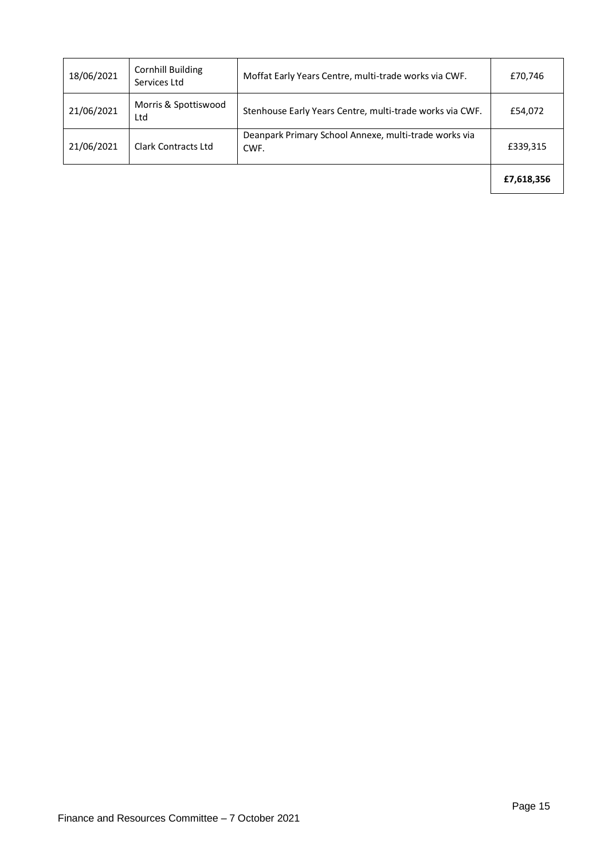| 18/06/2021 | <b>Cornhill Building</b><br>Services Ltd | Moffat Early Years Centre, multi-trade works via CWF.         | £70,746    |
|------------|------------------------------------------|---------------------------------------------------------------|------------|
| 21/06/2021 | Morris & Spottiswood<br>Ltd              | Stenhouse Early Years Centre, multi-trade works via CWF.      | £54,072    |
| 21/06/2021 | <b>Clark Contracts Ltd</b>               | Deanpark Primary School Annexe, multi-trade works via<br>CWF. | £339,315   |
|            |                                          |                                                               | £7,618,356 |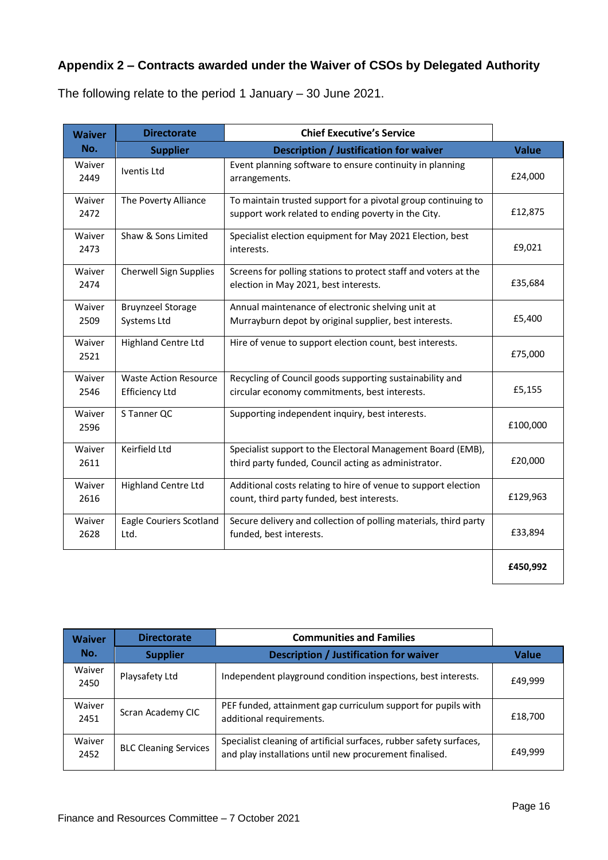# **Appendix 2 – Contracts awarded under the Waiver of CSOs by Delegated Authority**

The following relate to the period 1 January – 30 June 2021.

| <b>Waiver</b>  | <b>Directorate</b>                                    | <b>Chief Executive's Service</b>                                                                                     |              |
|----------------|-------------------------------------------------------|----------------------------------------------------------------------------------------------------------------------|--------------|
| No.            | <b>Supplier</b>                                       | <b>Description / Justification for waiver</b>                                                                        | <b>Value</b> |
| Waiver<br>2449 | Iventis Ltd                                           | Event planning software to ensure continuity in planning<br>arrangements.                                            | £24,000      |
| Waiver<br>2472 | The Poverty Alliance                                  | To maintain trusted support for a pivotal group continuing to<br>support work related to ending poverty in the City. | £12,875      |
| Waiver<br>2473 | Shaw & Sons Limited                                   | Specialist election equipment for May 2021 Election, best<br>interests.                                              | £9,021       |
| Waiver<br>2474 | Cherwell Sign Supplies                                | Screens for polling stations to protect staff and voters at the<br>election in May 2021, best interests.             | £35,684      |
| Waiver<br>2509 | <b>Bruynzeel Storage</b><br>Systems Ltd               | Annual maintenance of electronic shelving unit at<br>Murrayburn depot by original supplier, best interests.          | £5,400       |
| Waiver<br>2521 | <b>Highland Centre Ltd</b>                            | Hire of venue to support election count, best interests.                                                             | £75,000      |
| Waiver<br>2546 | <b>Waste Action Resource</b><br><b>Efficiency Ltd</b> | Recycling of Council goods supporting sustainability and<br>circular economy commitments, best interests.            | £5,155       |
| Waiver<br>2596 | S Tanner QC                                           | Supporting independent inquiry, best interests.                                                                      | £100,000     |
| Waiver<br>2611 | Keirfield Ltd                                         | Specialist support to the Electoral Management Board (EMB),<br>third party funded, Council acting as administrator.  | £20,000      |
| Waiver<br>2616 | <b>Highland Centre Ltd</b>                            | Additional costs relating to hire of venue to support election<br>count, third party funded, best interests.         | £129,963     |
| Waiver<br>2628 | Eagle Couriers Scotland<br>Ltd.                       | Secure delivery and collection of polling materials, third party<br>funded, best interests.                          | £33,894      |
|                |                                                       |                                                                                                                      | £450,992     |

| <b>Waiver</b><br>No. | <b>Directorate</b>           | <b>Communities and Families</b>                                                                                                |              |
|----------------------|------------------------------|--------------------------------------------------------------------------------------------------------------------------------|--------------|
|                      | <b>Supplier</b>              | <b>Description / Justification for waiver</b>                                                                                  | <b>Value</b> |
| Waiver<br>2450       | Playsafety Ltd               | Independent playground condition inspections, best interests.                                                                  | £49,999      |
| Waiver<br>2451       | Scran Academy CIC            | PEF funded, attainment gap curriculum support for pupils with<br>additional requirements.                                      | £18,700      |
| Waiver<br>2452       | <b>BLC Cleaning Services</b> | Specialist cleaning of artificial surfaces, rubber safety surfaces,<br>and play installations until new procurement finalised. | £49,999      |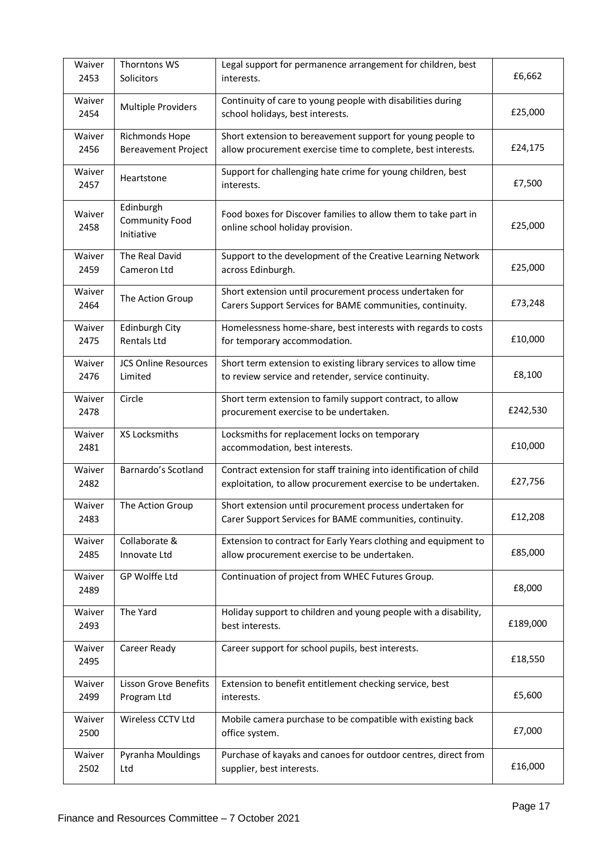| Waiver<br>2453 | Thorntons WS<br>Solicitors                       | Legal support for permanence arrangement for children, best<br>interests.                                                           | £6,662   |
|----------------|--------------------------------------------------|-------------------------------------------------------------------------------------------------------------------------------------|----------|
| Waiver<br>2454 | <b>Multiple Providers</b>                        | Continuity of care to young people with disabilities during<br>school holidays, best interests.                                     | £25,000  |
| Waiver<br>2456 | Richmonds Hope<br><b>Bereavement Project</b>     | Short extension to bereavement support for young people to<br>allow procurement exercise time to complete, best interests.          | £24,175  |
| Waiver<br>2457 | Heartstone                                       | Support for challenging hate crime for young children, best<br>interests.                                                           | £7,500   |
| Waiver<br>2458 | Edinburgh<br><b>Community Food</b><br>Initiative | Food boxes for Discover families to allow them to take part in<br>online school holiday provision.                                  | £25,000  |
| Waiver<br>2459 | The Real David<br>Cameron Ltd                    | Support to the development of the Creative Learning Network<br>across Edinburgh.                                                    | £25,000  |
| Waiver<br>2464 | The Action Group                                 | Short extension until procurement process undertaken for<br>Carers Support Services for BAME communities, continuity.               | £73,248  |
| Waiver<br>2475 | Edinburgh City<br><b>Rentals Ltd</b>             | Homelessness home-share, best interests with regards to costs<br>for temporary accommodation.                                       | £10,000  |
| Waiver<br>2476 | <b>JCS Online Resources</b><br>Limited           | Short term extension to existing library services to allow time<br>to review service and retender, service continuity.              | £8,100   |
| Waiver<br>2478 | Circle                                           | Short term extension to family support contract, to allow<br>procurement exercise to be undertaken.                                 | £242,530 |
| Waiver<br>2481 | XS Locksmiths                                    | Locksmiths for replacement locks on temporary<br>accommodation, best interests.                                                     | £10,000  |
| Waiver<br>2482 | Barnardo's Scotland                              | Contract extension for staff training into identification of child<br>exploitation, to allow procurement exercise to be undertaken. | £27,756  |
| Waiver<br>2483 | The Action Group                                 | Short extension until procurement process undertaken for<br>Carer Support Services for BAME communities, continuity.                | £12,208  |
| Waiver<br>2485 | Collaborate &<br>Innovate Ltd                    | Extension to contract for Early Years clothing and equipment to<br>allow procurement exercise to be undertaken.                     | £85,000  |
| Waiver<br>2489 | GP Wolffe Ltd                                    | Continuation of project from WHEC Futures Group.                                                                                    | £8,000   |
| Waiver<br>2493 | The Yard                                         | Holiday support to children and young people with a disability,<br>best interests.                                                  | £189,000 |
| Waiver<br>2495 | Career Ready                                     | Career support for school pupils, best interests.                                                                                   | £18,550  |
| Waiver<br>2499 | <b>Lisson Grove Benefits</b><br>Program Ltd      | Extension to benefit entitlement checking service, best<br>interests.                                                               | £5,600   |
| Waiver<br>2500 | Wireless CCTV Ltd                                | Mobile camera purchase to be compatible with existing back<br>office system.                                                        | £7,000   |
| Waiver<br>2502 | Pyranha Mouldings<br>Ltd                         | Purchase of kayaks and canoes for outdoor centres, direct from<br>supplier, best interests.                                         | £16,000  |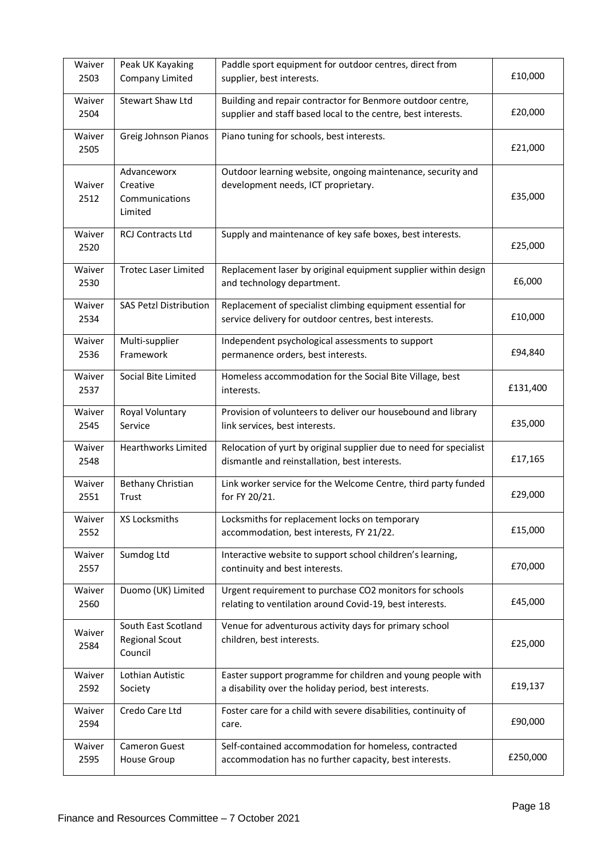| Waiver<br>2503 | Peak UK Kayaking<br>Company Limited                     | Paddle sport equipment for outdoor centres, direct from<br>supplier, best interests.                                        | £10,000  |
|----------------|---------------------------------------------------------|-----------------------------------------------------------------------------------------------------------------------------|----------|
| Waiver<br>2504 | <b>Stewart Shaw Ltd</b>                                 | Building and repair contractor for Benmore outdoor centre,<br>supplier and staff based local to the centre, best interests. | £20,000  |
| Waiver<br>2505 | Greig Johnson Pianos                                    | Piano tuning for schools, best interests.                                                                                   | £21,000  |
| Waiver<br>2512 | Advanceworx<br>Creative<br>Communications<br>Limited    | Outdoor learning website, ongoing maintenance, security and<br>development needs, ICT proprietary.                          | £35,000  |
| Waiver<br>2520 | <b>RCJ Contracts Ltd</b>                                | Supply and maintenance of key safe boxes, best interests.                                                                   | £25,000  |
| Waiver<br>2530 | <b>Trotec Laser Limited</b>                             | Replacement laser by original equipment supplier within design<br>and technology department.                                | £6,000   |
| Waiver<br>2534 | <b>SAS Petzl Distribution</b>                           | Replacement of specialist climbing equipment essential for<br>service delivery for outdoor centres, best interests.         | £10,000  |
| Waiver<br>2536 | Multi-supplier<br>Framework                             | Independent psychological assessments to support<br>permanence orders, best interests.                                      | £94,840  |
| Waiver<br>2537 | Social Bite Limited                                     | Homeless accommodation for the Social Bite Village, best<br>interests.                                                      | £131,400 |
| Waiver<br>2545 | Royal Voluntary<br>Service                              | Provision of volunteers to deliver our housebound and library<br>link services, best interests.                             | £35,000  |
| Waiver<br>2548 | <b>Hearthworks Limited</b>                              | Relocation of yurt by original supplier due to need for specialist<br>dismantle and reinstallation, best interests.         | £17,165  |
| Waiver<br>2551 | Bethany Christian<br>Trust                              | Link worker service for the Welcome Centre, third party funded<br>for FY 20/21.                                             | £29,000  |
| Waiver<br>2552 | XS Locksmiths                                           | Locksmiths for replacement locks on temporary<br>accommodation, best interests, FY 21/22.                                   | £15,000  |
| Waiver<br>2557 | Sumdog Ltd                                              | Interactive website to support school children's learning,<br>continuity and best interests.                                | £70,000  |
| Waiver<br>2560 | Duomo (UK) Limited                                      | Urgent requirement to purchase CO2 monitors for schools<br>relating to ventilation around Covid-19, best interests.         | £45,000  |
| Waiver<br>2584 | South East Scotland<br><b>Regional Scout</b><br>Council | Venue for adventurous activity days for primary school<br>children, best interests.                                         | £25,000  |
| Waiver<br>2592 | Lothian Autistic<br>Society                             | Easter support programme for children and young people with<br>a disability over the holiday period, best interests.        | £19,137  |
| Waiver<br>2594 | Credo Care Ltd                                          | Foster care for a child with severe disabilities, continuity of<br>care.                                                    | £90,000  |
| Waiver<br>2595 | Cameron Guest<br>House Group                            | Self-contained accommodation for homeless, contracted<br>accommodation has no further capacity, best interests.             | £250,000 |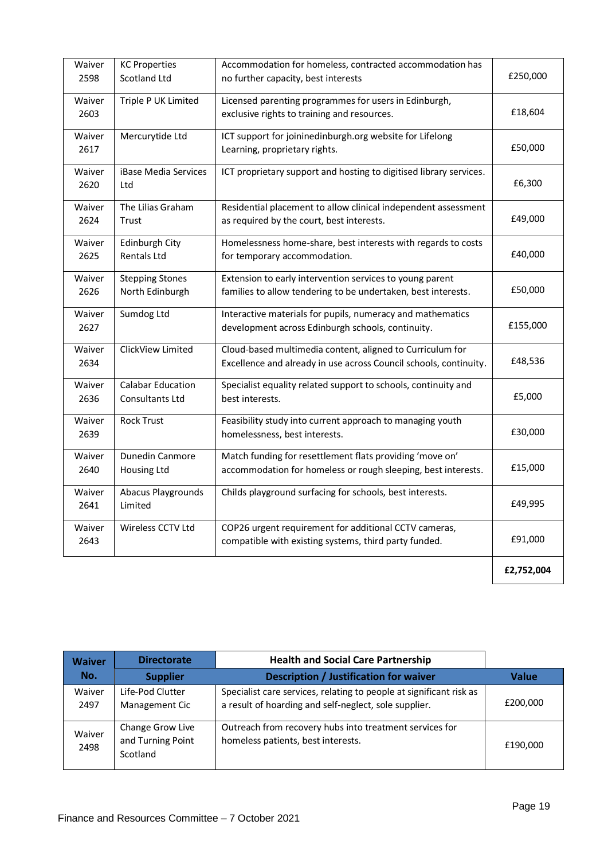| Waiver<br>2598 | <b>KC Properties</b><br><b>Scotland Ltd</b> | Accommodation for homeless, contracted accommodation has<br>no further capacity, best interests                                | £250,000   |
|----------------|---------------------------------------------|--------------------------------------------------------------------------------------------------------------------------------|------------|
| Waiver<br>2603 | Triple P UK Limited                         | Licensed parenting programmes for users in Edinburgh,<br>exclusive rights to training and resources.                           | £18,604    |
| Waiver<br>2617 | Mercurytide Ltd                             | ICT support for joininedinburgh.org website for Lifelong<br>Learning, proprietary rights.                                      | £50,000    |
| Waiver<br>2620 | iBase Media Services<br>Ltd                 | ICT proprietary support and hosting to digitised library services.                                                             | £6,300     |
| Waiver<br>2624 | The Lilias Graham<br>Trust                  | Residential placement to allow clinical independent assessment<br>as required by the court, best interests.                    | £49,000    |
| Waiver<br>2625 | Edinburgh City<br>Rentals Ltd               | Homelessness home-share, best interests with regards to costs<br>for temporary accommodation.                                  | £40,000    |
| Waiver<br>2626 | <b>Stepping Stones</b><br>North Edinburgh   | Extension to early intervention services to young parent<br>families to allow tendering to be undertaken, best interests.      | £50,000    |
| Waiver<br>2627 | Sumdog Ltd                                  | Interactive materials for pupils, numeracy and mathematics<br>development across Edinburgh schools, continuity.                | £155,000   |
| Waiver<br>2634 | ClickView Limited                           | Cloud-based multimedia content, aligned to Curriculum for<br>Excellence and already in use across Council schools, continuity. | £48,536    |
| Waiver<br>2636 | <b>Calabar Education</b><br>Consultants Ltd | Specialist equality related support to schools, continuity and<br>best interests.                                              | £5,000     |
| Waiver<br>2639 | <b>Rock Trust</b>                           | Feasibility study into current approach to managing youth<br>homelessness, best interests.                                     | £30,000    |
| Waiver<br>2640 | Dunedin Canmore<br>Housing Ltd              | Match funding for resettlement flats providing 'move on'<br>accommodation for homeless or rough sleeping, best interests.      | £15,000    |
| Waiver<br>2641 | Abacus Playgrounds<br>Limited               | Childs playground surfacing for schools, best interests.                                                                       | £49,995    |
| Waiver<br>2643 | Wireless CCTV Ltd                           | COP26 urgent requirement for additional CCTV cameras,<br>compatible with existing systems, third party funded.                 | £91,000    |
|                |                                             |                                                                                                                                | £2,752,004 |

| <b>Waiver</b><br>No. | <b>Directorate</b>                                | <b>Health and Social Care Partnership</b>                                                                                    |              |
|----------------------|---------------------------------------------------|------------------------------------------------------------------------------------------------------------------------------|--------------|
|                      | <b>Supplier</b>                                   | <b>Description / Justification for waiver</b>                                                                                | <b>Value</b> |
| Waiver<br>2497       | Life-Pod Clutter<br>Management Cic                | Specialist care services, relating to people at significant risk as<br>a result of hoarding and self-neglect, sole supplier. | £200,000     |
| Waiver<br>2498       | Change Grow Live<br>and Turning Point<br>Scotland | Outreach from recovery hubs into treatment services for<br>homeless patients, best interests.                                | £190.000     |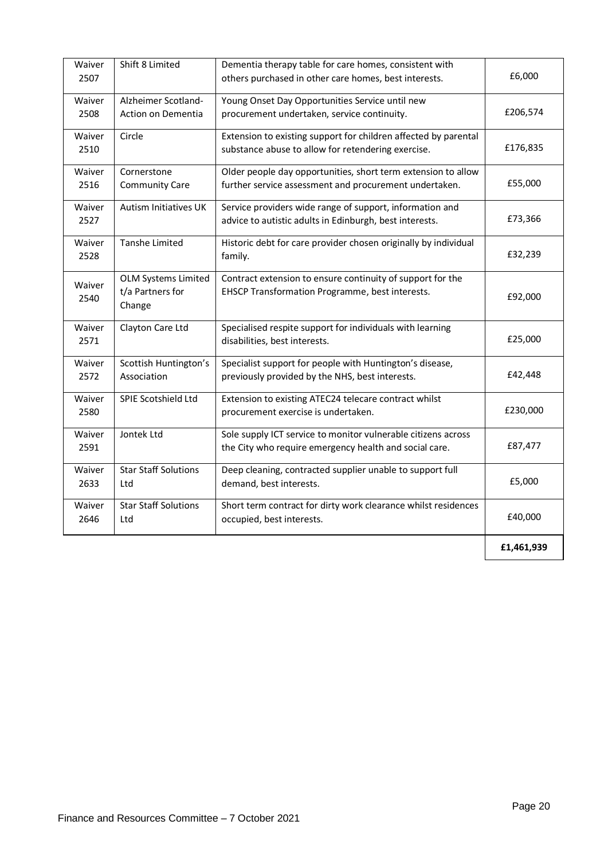| Waiver<br>2507 | Shift 8 Limited                                          | Dementia therapy table for care homes, consistent with<br>others purchased in other care homes, best interests.         | £6,000     |
|----------------|----------------------------------------------------------|-------------------------------------------------------------------------------------------------------------------------|------------|
| Waiver<br>2508 | Alzheimer Scotland-<br>Action on Dementia                | Young Onset Day Opportunities Service until new<br>procurement undertaken, service continuity.                          | £206,574   |
| Waiver<br>2510 | Circle                                                   | Extension to existing support for children affected by parental<br>substance abuse to allow for retendering exercise.   | £176,835   |
| Waiver<br>2516 | Cornerstone<br><b>Community Care</b>                     | Older people day opportunities, short term extension to allow<br>further service assessment and procurement undertaken. | £55,000    |
| Waiver<br>2527 | <b>Autism Initiatives UK</b>                             | Service providers wide range of support, information and<br>advice to autistic adults in Edinburgh, best interests.     | £73,366    |
| Waiver<br>2528 | <b>Tanshe Limited</b>                                    | Historic debt for care provider chosen originally by individual<br>family.                                              | £32,239    |
| Waiver<br>2540 | <b>OLM Systems Limited</b><br>t/a Partners for<br>Change | Contract extension to ensure continuity of support for the<br>EHSCP Transformation Programme, best interests.           | £92,000    |
| Waiver<br>2571 | Clayton Care Ltd                                         | Specialised respite support for individuals with learning<br>disabilities, best interests.                              | £25,000    |
| Waiver<br>2572 | Scottish Huntington's<br>Association                     | Specialist support for people with Huntington's disease,<br>previously provided by the NHS, best interests.             | £42,448    |
| Waiver<br>2580 | SPIE Scotshield Ltd                                      | Extension to existing ATEC24 telecare contract whilst<br>procurement exercise is undertaken.                            | £230,000   |
| Waiver<br>2591 | Jontek Ltd                                               | Sole supply ICT service to monitor vulnerable citizens across<br>the City who require emergency health and social care. | £87,477    |
| Waiver<br>2633 | <b>Star Staff Solutions</b><br>Ltd                       | Deep cleaning, contracted supplier unable to support full<br>demand, best interests.                                    | £5,000     |
| Waiver<br>2646 | <b>Star Staff Solutions</b><br>Ltd                       | Short term contract for dirty work clearance whilst residences<br>occupied, best interests.                             | £40,000    |
|                |                                                          |                                                                                                                         | £1,461,939 |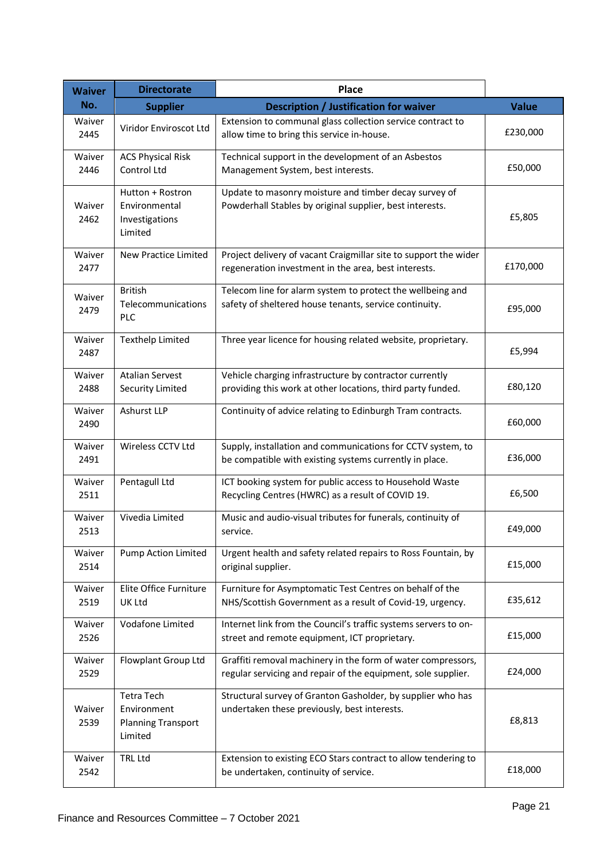| <b>Waiver</b>  | <b>Directorate</b>                                                       | <b>Place</b>                                                                                                                  |              |
|----------------|--------------------------------------------------------------------------|-------------------------------------------------------------------------------------------------------------------------------|--------------|
| No.            | <b>Supplier</b>                                                          | Description / Justification for waiver                                                                                        | <b>Value</b> |
| Waiver<br>2445 | Viridor Enviroscot Ltd                                                   | Extension to communal glass collection service contract to<br>allow time to bring this service in-house.                      | £230,000     |
| Waiver<br>2446 | <b>ACS Physical Risk</b><br>Control Ltd                                  | Technical support in the development of an Asbestos<br>Management System, best interests.                                     | £50,000      |
| Waiver<br>2462 | Hutton + Rostron<br>Environmental<br>Investigations<br>Limited           | Update to masonry moisture and timber decay survey of<br>Powderhall Stables by original supplier, best interests.             | £5,805       |
| Waiver<br>2477 | New Practice Limited                                                     | Project delivery of vacant Craigmillar site to support the wider<br>regeneration investment in the area, best interests.      | £170,000     |
| Waiver<br>2479 | <b>British</b><br>Telecommunications<br>PLC                              | Telecom line for alarm system to protect the wellbeing and<br>safety of sheltered house tenants, service continuity.          | £95,000      |
| Waiver<br>2487 | <b>Texthelp Limited</b>                                                  | Three year licence for housing related website, proprietary.                                                                  | £5,994       |
| Waiver<br>2488 | <b>Atalian Servest</b><br><b>Security Limited</b>                        | Vehicle charging infrastructure by contractor currently<br>providing this work at other locations, third party funded.        | £80,120      |
| Waiver<br>2490 | Ashurst LLP                                                              | Continuity of advice relating to Edinburgh Tram contracts.                                                                    | £60,000      |
| Waiver<br>2491 | Wireless CCTV Ltd                                                        | Supply, installation and communications for CCTV system, to<br>be compatible with existing systems currently in place.        | £36,000      |
| Waiver<br>2511 | Pentagull Ltd                                                            | ICT booking system for public access to Household Waste<br>Recycling Centres (HWRC) as a result of COVID 19.                  | £6,500       |
| Waiver<br>2513 | Vivedia Limited                                                          | Music and audio-visual tributes for funerals, continuity of<br>service.                                                       | £49,000      |
| Waiver<br>2514 | <b>Pump Action Limited</b>                                               | Urgent health and safety related repairs to Ross Fountain, by<br>original supplier.                                           | £15,000      |
| Waiver<br>2519 | Elite Office Furniture<br>UK Ltd                                         | Furniture for Asymptomatic Test Centres on behalf of the<br>NHS/Scottish Government as a result of Covid-19, urgency.         | £35,612      |
| Waiver<br>2526 | Vodafone Limited                                                         | Internet link from the Council's traffic systems servers to on-<br>street and remote equipment, ICT proprietary.              | £15,000      |
| Waiver<br>2529 | Flowplant Group Ltd                                                      | Graffiti removal machinery in the form of water compressors,<br>regular servicing and repair of the equipment, sole supplier. | £24,000      |
| Waiver<br>2539 | <b>Tetra Tech</b><br>Environment<br><b>Planning Transport</b><br>Limited | Structural survey of Granton Gasholder, by supplier who has<br>undertaken these previously, best interests.                   | £8,813       |
| Waiver<br>2542 | <b>TRL Ltd</b>                                                           | Extension to existing ECO Stars contract to allow tendering to<br>be undertaken, continuity of service.                       | £18,000      |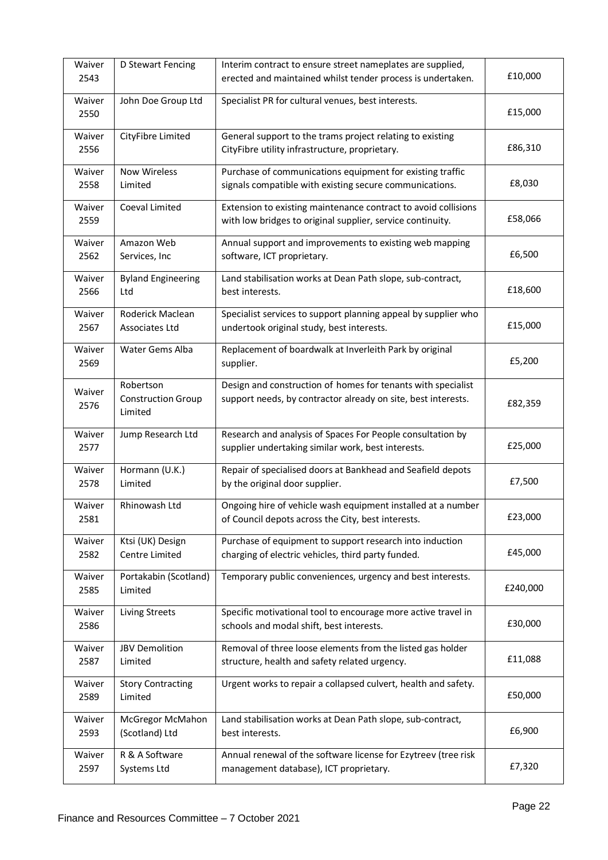| Waiver<br>2543 | D Stewart Fencing                                 | Interim contract to ensure street nameplates are supplied,<br>erected and maintained whilst tender process is undertaken.     | £10,000  |
|----------------|---------------------------------------------------|-------------------------------------------------------------------------------------------------------------------------------|----------|
| Waiver<br>2550 | John Doe Group Ltd                                | Specialist PR for cultural venues, best interests.                                                                            | £15,000  |
| Waiver<br>2556 | CityFibre Limited                                 | General support to the trams project relating to existing<br>CityFibre utility infrastructure, proprietary.                   | £86,310  |
| Waiver<br>2558 | <b>Now Wireless</b><br>Limited                    | Purchase of communications equipment for existing traffic<br>signals compatible with existing secure communications.          | £8,030   |
| Waiver<br>2559 | Coeval Limited                                    | Extension to existing maintenance contract to avoid collisions<br>with low bridges to original supplier, service continuity.  | £58,066  |
| Waiver<br>2562 | Amazon Web<br>Services, Inc                       | Annual support and improvements to existing web mapping<br>software, ICT proprietary.                                         | £6,500   |
| Waiver<br>2566 | <b>Byland Engineering</b><br>Ltd                  | Land stabilisation works at Dean Path slope, sub-contract,<br>best interests.                                                 | £18,600  |
| Waiver<br>2567 | Roderick Maclean<br>Associates Ltd                | Specialist services to support planning appeal by supplier who<br>undertook original study, best interests.                   | £15,000  |
| Waiver<br>2569 | Water Gems Alba                                   | Replacement of boardwalk at Inverleith Park by original<br>supplier.                                                          | £5,200   |
| Waiver<br>2576 | Robertson<br><b>Construction Group</b><br>Limited | Design and construction of homes for tenants with specialist<br>support needs, by contractor already on site, best interests. | £82,359  |
| Waiver<br>2577 | Jump Research Ltd                                 | Research and analysis of Spaces For People consultation by<br>supplier undertaking similar work, best interests.              | £25,000  |
| Waiver<br>2578 | Hormann (U.K.)<br>Limited                         | Repair of specialised doors at Bankhead and Seafield depots<br>by the original door supplier.                                 | £7,500   |
| Waiver<br>2581 | Rhinowash Ltd                                     | Ongoing hire of vehicle wash equipment installed at a number<br>of Council depots across the City, best interests.            | £23,000  |
| Waiver<br>2582 | Ktsi (UK) Design<br>Centre Limited                | Purchase of equipment to support research into induction<br>charging of electric vehicles, third party funded.                | £45,000  |
| Waiver<br>2585 | Portakabin (Scotland)<br>Limited                  | Temporary public conveniences, urgency and best interests.                                                                    | £240,000 |
| Waiver<br>2586 | Living Streets                                    | Specific motivational tool to encourage more active travel in<br>schools and modal shift, best interests.                     | £30,000  |
| Waiver<br>2587 | <b>JBV Demolition</b><br>Limited                  | Removal of three loose elements from the listed gas holder<br>structure, health and safety related urgency.                   | £11,088  |
| Waiver<br>2589 | <b>Story Contracting</b><br>Limited               | Urgent works to repair a collapsed culvert, health and safety.                                                                | £50,000  |
| Waiver<br>2593 | McGregor McMahon<br>(Scotland) Ltd                | Land stabilisation works at Dean Path slope, sub-contract,<br>best interests.                                                 | £6,900   |
| Waiver<br>2597 | R & A Software<br>Systems Ltd                     | Annual renewal of the software license for Ezytreev (tree risk<br>management database), ICT proprietary.                      | £7,320   |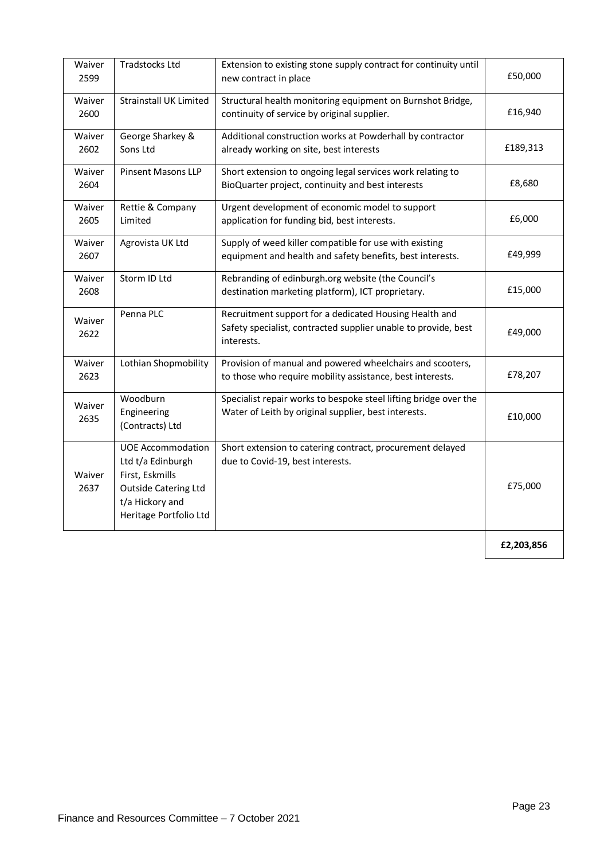| Waiver<br>2599 | Tradstocks Ltd                                                                                                                               | Extension to existing stone supply contract for continuity until<br>new contract in place                                              | £50,000    |
|----------------|----------------------------------------------------------------------------------------------------------------------------------------------|----------------------------------------------------------------------------------------------------------------------------------------|------------|
| Waiver<br>2600 | <b>Strainstall UK Limited</b>                                                                                                                | Structural health monitoring equipment on Burnshot Bridge,<br>continuity of service by original supplier.                              | £16,940    |
| Waiver<br>2602 | George Sharkey &<br>Sons Ltd                                                                                                                 | Additional construction works at Powderhall by contractor<br>already working on site, best interests                                   | £189,313   |
| Waiver<br>2604 | <b>Pinsent Masons LLP</b>                                                                                                                    | Short extension to ongoing legal services work relating to<br>BioQuarter project, continuity and best interests                        | £8,680     |
| Waiver<br>2605 | Rettie & Company<br>Limited                                                                                                                  | Urgent development of economic model to support<br>application for funding bid, best interests.                                        | £6,000     |
| Waiver<br>2607 | Agrovista UK Ltd                                                                                                                             | Supply of weed killer compatible for use with existing<br>equipment and health and safety benefits, best interests.                    | £49,999    |
| Waiver<br>2608 | Storm ID Ltd                                                                                                                                 | Rebranding of edinburgh.org website (the Council's<br>destination marketing platform), ICT proprietary.                                | £15,000    |
| Waiver<br>2622 | Penna PLC                                                                                                                                    | Recruitment support for a dedicated Housing Health and<br>Safety specialist, contracted supplier unable to provide, best<br>interests. | £49,000    |
| Waiver<br>2623 | Lothian Shopmobility                                                                                                                         | Provision of manual and powered wheelchairs and scooters,<br>to those who require mobility assistance, best interests.                 | £78,207    |
| Waiver<br>2635 | Woodburn<br>Engineering<br>(Contracts) Ltd                                                                                                   | Specialist repair works to bespoke steel lifting bridge over the<br>Water of Leith by original supplier, best interests.               | £10,000    |
| Waiver<br>2637 | <b>UOE Accommodation</b><br>Ltd t/a Edinburgh<br>First, Eskmills<br><b>Outside Catering Ltd</b><br>t/a Hickory and<br>Heritage Portfolio Ltd | Short extension to catering contract, procurement delayed<br>due to Covid-19, best interests.                                          | £75,000    |
|                |                                                                                                                                              |                                                                                                                                        | £2,203,856 |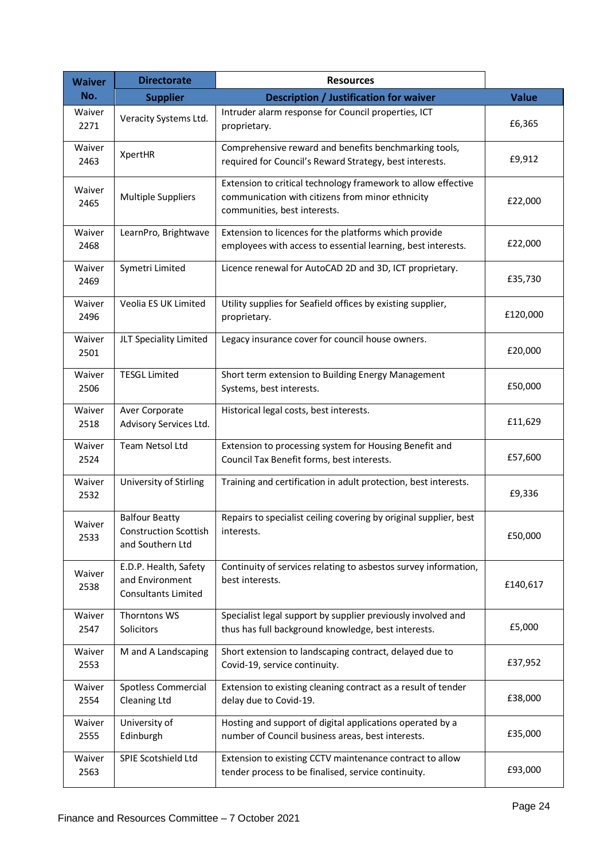| <b>Waiver</b>  | <b>Directorate</b><br><b>Resources</b><br>No.<br><b>Description / Justification for waiver</b><br><b>Supplier</b> |                                                                                                                                                   |              |
|----------------|-------------------------------------------------------------------------------------------------------------------|---------------------------------------------------------------------------------------------------------------------------------------------------|--------------|
|                |                                                                                                                   |                                                                                                                                                   | <b>Value</b> |
| Waiver<br>2271 | Veracity Systems Ltd.                                                                                             | Intruder alarm response for Council properties, ICT<br>proprietary.                                                                               | £6,365       |
| Waiver<br>2463 | XpertHR                                                                                                           | Comprehensive reward and benefits benchmarking tools,<br>required for Council's Reward Strategy, best interests.                                  | £9,912       |
| Waiver<br>2465 | Multiple Suppliers                                                                                                | Extension to critical technology framework to allow effective<br>communication with citizens from minor ethnicity<br>communities, best interests. | £22,000      |
| Waiver<br>2468 | LearnPro, Brightwave                                                                                              | Extension to licences for the platforms which provide<br>employees with access to essential learning, best interests.                             | £22,000      |
| Waiver<br>2469 | Symetri Limited                                                                                                   | Licence renewal for AutoCAD 2D and 3D, ICT proprietary.                                                                                           | £35,730      |
| Waiver<br>2496 | Veolia ES UK Limited                                                                                              | Utility supplies for Seafield offices by existing supplier,<br>proprietary.                                                                       | £120,000     |
| Waiver<br>2501 | JLT Speciality Limited                                                                                            | Legacy insurance cover for council house owners.                                                                                                  | £20,000      |
| Waiver<br>2506 | <b>TESGL Limited</b>                                                                                              | Short term extension to Building Energy Management<br>Systems, best interests.                                                                    | £50,000      |
| Waiver<br>2518 | Aver Corporate<br>Advisory Services Ltd.                                                                          | Historical legal costs, best interests.                                                                                                           | £11,629      |
| Waiver<br>2524 | Team Netsol Ltd                                                                                                   | Extension to processing system for Housing Benefit and<br>Council Tax Benefit forms, best interests.                                              | £57,600      |
| Waiver<br>2532 | University of Stirling                                                                                            | Training and certification in adult protection, best interests.                                                                                   | £9,336       |
| Waiver<br>2533 | <b>Balfour Beatty</b><br><b>Construction Scottish</b><br>and Southern Ltd                                         | Repairs to specialist ceiling covering by original supplier, best<br>interests.                                                                   | £50,000      |
| Waiver<br>2538 | E.D.P. Health, Safety<br>and Environment<br><b>Consultants Limited</b>                                            | Continuity of services relating to asbestos survey information,<br>best interests.                                                                | £140,617     |
| Waiver<br>2547 | Thorntons WS<br>Solicitors                                                                                        | Specialist legal support by supplier previously involved and<br>thus has full background knowledge, best interests.                               | £5,000       |
| Waiver<br>2553 | M and A Landscaping                                                                                               | Short extension to landscaping contract, delayed due to<br>Covid-19, service continuity.                                                          | £37,952      |
| Waiver<br>2554 | Spotless Commercial<br>Cleaning Ltd                                                                               | Extension to existing cleaning contract as a result of tender<br>delay due to Covid-19.                                                           | £38,000      |
| Waiver<br>2555 | University of<br>Edinburgh                                                                                        | Hosting and support of digital applications operated by a<br>number of Council business areas, best interests.                                    | £35,000      |
| Waiver<br>2563 | SPIE Scotshield Ltd                                                                                               | Extension to existing CCTV maintenance contract to allow<br>tender process to be finalised, service continuity.                                   | £93,000      |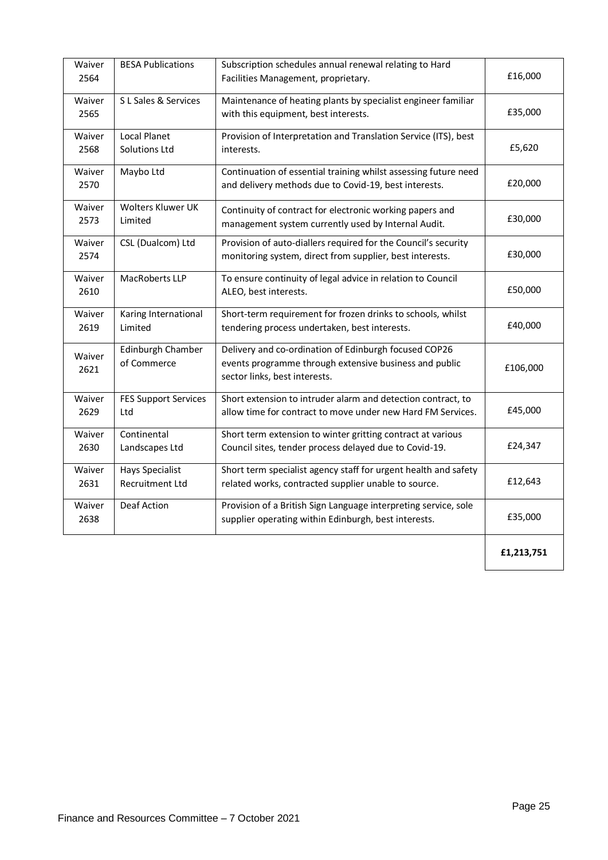| Waiver<br>2564 | <b>BESA Publications</b>                         | Subscription schedules annual renewal relating to Hard<br>Facilities Management, proprietary.                                                    | £16,000    |
|----------------|--------------------------------------------------|--------------------------------------------------------------------------------------------------------------------------------------------------|------------|
| Waiver<br>2565 | S L Sales & Services                             | Maintenance of heating plants by specialist engineer familiar<br>with this equipment, best interests.                                            | £35,000    |
| Waiver<br>2568 | <b>Local Planet</b><br><b>Solutions Ltd</b>      | Provision of Interpretation and Translation Service (ITS), best<br>interests.                                                                    | £5,620     |
| Waiver<br>2570 | Maybo Ltd                                        | Continuation of essential training whilst assessing future need<br>and delivery methods due to Covid-19, best interests.                         | £20,000    |
| Waiver<br>2573 | Wolters Kluwer UK<br>Limited                     | Continuity of contract for electronic working papers and<br>management system currently used by Internal Audit.                                  | £30,000    |
| Waiver<br>2574 | CSL (Dualcom) Ltd                                | Provision of auto-diallers required for the Council's security<br>monitoring system, direct from supplier, best interests.                       | £30,000    |
| Waiver<br>2610 | MacRoberts LLP                                   | To ensure continuity of legal advice in relation to Council<br>ALEO, best interests.                                                             | £50,000    |
| Waiver<br>2619 | Karing International<br>Limited                  | Short-term requirement for frozen drinks to schools, whilst<br>tendering process undertaken, best interests.                                     | £40,000    |
| Waiver<br>2621 | Edinburgh Chamber<br>of Commerce                 | Delivery and co-ordination of Edinburgh focused COP26<br>events programme through extensive business and public<br>sector links, best interests. | £106,000   |
| Waiver<br>2629 | <b>FES Support Services</b><br>Ltd               | Short extension to intruder alarm and detection contract, to<br>allow time for contract to move under new Hard FM Services.                      | £45,000    |
| Waiver<br>2630 | Continental<br>Landscapes Ltd                    | Short term extension to winter gritting contract at various<br>Council sites, tender process delayed due to Covid-19.                            | £24,347    |
| Waiver<br>2631 | <b>Hays Specialist</b><br><b>Recruitment Ltd</b> | Short term specialist agency staff for urgent health and safety<br>related works, contracted supplier unable to source.                          | £12,643    |
| Waiver<br>2638 | <b>Deaf Action</b>                               | Provision of a British Sign Language interpreting service, sole<br>supplier operating within Edinburgh, best interests.                          | £35,000    |
|                |                                                  |                                                                                                                                                  | £1,213,751 |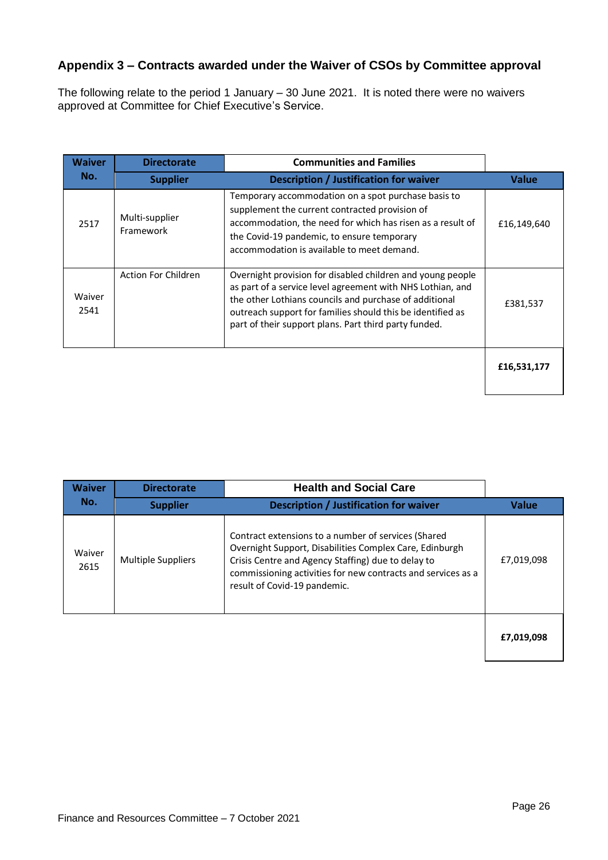#### **Appendix 3 – Contracts awarded under the Waiver of CSOs by Committee approval**

The following relate to the period 1 January – 30 June 2021. It is noted there were no waivers approved at Committee for Chief Executive's Service.

| <b>Waiver</b>  | <b>Directorate</b>          | <b>Communities and Families</b>                                                                                                                                                                                                                                                                           |              |
|----------------|-----------------------------|-----------------------------------------------------------------------------------------------------------------------------------------------------------------------------------------------------------------------------------------------------------------------------------------------------------|--------------|
| No.            | <b>Supplier</b>             | <b>Description / Justification for waiver</b>                                                                                                                                                                                                                                                             | <b>Value</b> |
| 2517           | Multi-supplier<br>Framework | Temporary accommodation on a spot purchase basis to<br>supplement the current contracted provision of<br>accommodation, the need for which has risen as a result of<br>the Covid-19 pandemic, to ensure temporary<br>accommodation is available to meet demand.                                           | £16,149,640  |
| Waiver<br>2541 | Action For Children         | Overnight provision for disabled children and young people<br>as part of a service level agreement with NHS Lothian, and<br>the other Lothians councils and purchase of additional<br>outreach support for families should this be identified as<br>part of their support plans. Part third party funded. | £381,537     |
|                |                             |                                                                                                                                                                                                                                                                                                           | £16,531,177  |

| <b>Waiver</b>  | <b>Directorate</b>        | <b>Health and Social Care</b>                                                                                                                                                                                                                                        |            |
|----------------|---------------------------|----------------------------------------------------------------------------------------------------------------------------------------------------------------------------------------------------------------------------------------------------------------------|------------|
| No.            | <b>Supplier</b>           | <b>Description / Justification for waiver</b>                                                                                                                                                                                                                        | Value      |
| Waiver<br>2615 | <b>Multiple Suppliers</b> | Contract extensions to a number of services (Shared<br>Overnight Support, Disabilities Complex Care, Edinburgh<br>Crisis Centre and Agency Staffing) due to delay to<br>commissioning activities for new contracts and services as a<br>result of Covid-19 pandemic. | £7,019,098 |
|                |                           |                                                                                                                                                                                                                                                                      | £7,019,098 |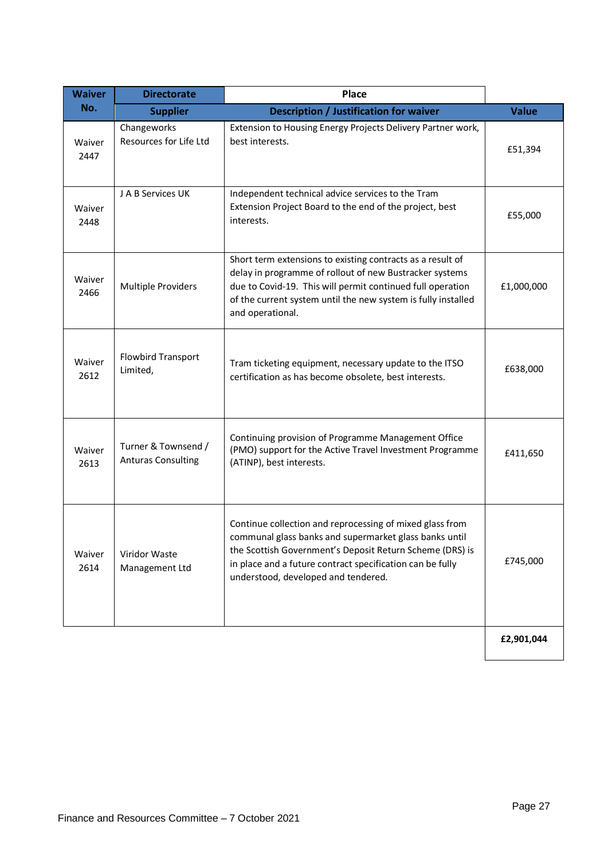| <b>Waiver</b>  | <b>Directorate</b>                               | <b>Place</b>                                                                                                                                                                                                                                                                       |              |
|----------------|--------------------------------------------------|------------------------------------------------------------------------------------------------------------------------------------------------------------------------------------------------------------------------------------------------------------------------------------|--------------|
| No.            | <b>Supplier</b>                                  | Description / Justification for waiver                                                                                                                                                                                                                                             | <b>Value</b> |
| Waiver<br>2447 | Changeworks<br>Resources for Life Ltd            | Extension to Housing Energy Projects Delivery Partner work,<br>best interests.                                                                                                                                                                                                     | £51,394      |
| Waiver<br>2448 | J A B Services UK                                | Independent technical advice services to the Tram<br>Extension Project Board to the end of the project, best<br>interests.                                                                                                                                                         | £55,000      |
| Waiver<br>2466 | Multiple Providers                               | Short term extensions to existing contracts as a result of<br>delay in programme of rollout of new Bustracker systems<br>due to Covid-19. This will permit continued full operation<br>of the current system until the new system is fully installed<br>and operational.           | £1,000,000   |
| Waiver<br>2612 | <b>Flowbird Transport</b><br>Limited,            | Tram ticketing equipment, necessary update to the ITSO<br>certification as has become obsolete, best interests.                                                                                                                                                                    | £638,000     |
| Waiver<br>2613 | Turner & Townsend /<br><b>Anturas Consulting</b> | Continuing provision of Programme Management Office<br>(PMO) support for the Active Travel Investment Programme<br>(ATINP), best interests.                                                                                                                                        | £411,650     |
| Waiver<br>2614 | Viridor Waste<br>Management Ltd                  | Continue collection and reprocessing of mixed glass from<br>communal glass banks and supermarket glass banks until<br>the Scottish Government's Deposit Return Scheme (DRS) is<br>in place and a future contract specification can be fully<br>understood, developed and tendered. | £745,000     |
|                |                                                  |                                                                                                                                                                                                                                                                                    | £2,901,044   |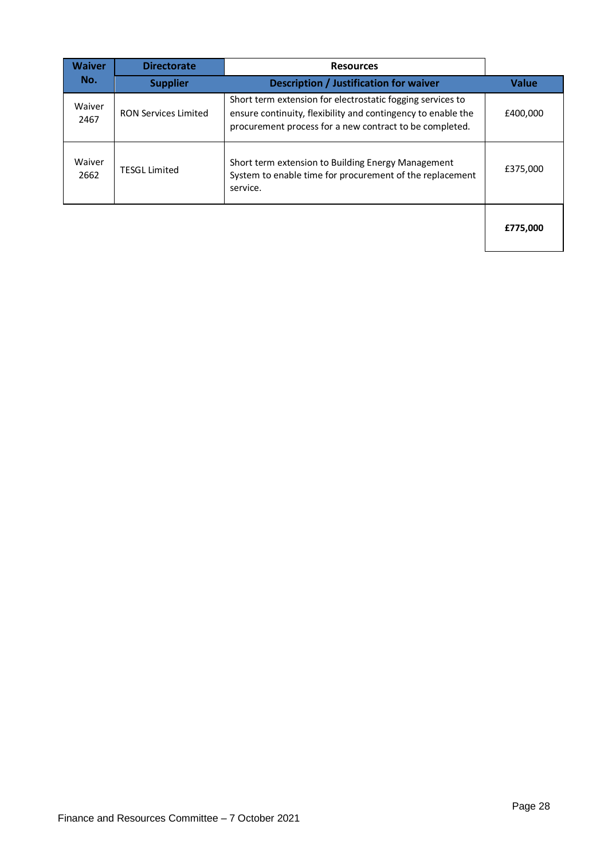| <b>Waiver</b>  | <b>Directorate</b><br><b>Resources</b> |                                                                                                                                                                                       |              |
|----------------|----------------------------------------|---------------------------------------------------------------------------------------------------------------------------------------------------------------------------------------|--------------|
| No.            | <b>Supplier</b>                        | <b>Description / Justification for waiver</b>                                                                                                                                         | <b>Value</b> |
| Waiver<br>2467 | <b>RON Services Limited</b>            | Short term extension for electrostatic fogging services to<br>ensure continuity, flexibility and contingency to enable the<br>procurement process for a new contract to be completed. | £400,000     |
| Waiver<br>2662 | <b>TESGL Limited</b>                   | Short term extension to Building Energy Management<br>System to enable time for procurement of the replacement<br>service.                                                            | £375.000     |
|                |                                        |                                                                                                                                                                                       | £775,000     |